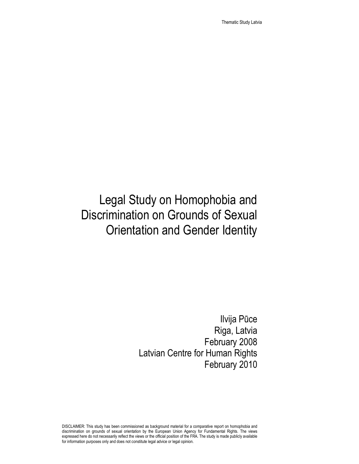Thematic Study Latvia

# Legal Study on Homophobia and Discrimination on Grounds of Sexual Orientation and Gender Identity

Ilvija Pūce Riga, Latvia February 2008 Latvian Centre for Human Rights February 2010

DISCLAIMER: This study has been commissioned as background material for a comparative report on homophobia and discrimination on grounds of sexual orientation by the European Union Agency for Fundamental Rights. The views expressed here do not necessarily reflect the views or the official position of the FRA. The study is made publicly available for information purposes only and does not constitute legal advice or legal opinion.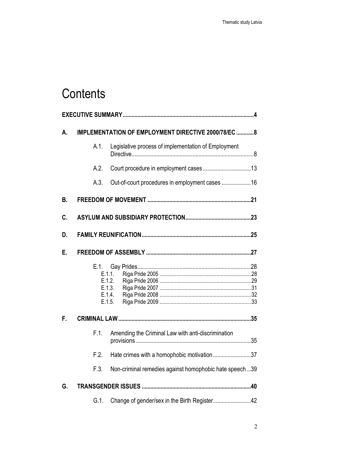# **Contents**

| А. | IMPLEMENTATION OF EMPLOYMENT DIRECTIVE 2000/78/EC 8 |                                                        |
|----|-----------------------------------------------------|--------------------------------------------------------|
|    | A.1.                                                | Legislative process of implementation of Employment    |
|    | A.2.                                                |                                                        |
|    | A.3.                                                | Out-of-court procedures in employment cases 16         |
| В. |                                                     |                                                        |
| C. |                                                     |                                                        |
| D. |                                                     |                                                        |
| Е. |                                                     |                                                        |
|    | E.1.                                                | E.1.1.<br>E.1.2.<br>E.1.3.<br>E.1.4.<br>E.1.5.         |
| F. |                                                     |                                                        |
|    | F.1.                                                | Amending the Criminal Law with anti-discrimination     |
|    | F.2.                                                | Hate crimes with a homophobic motivation37             |
|    | F.3.                                                | Non-criminal remedies against homophobic hate speech39 |
| G. |                                                     |                                                        |
|    | $G.1$ .                                             |                                                        |
|    |                                                     |                                                        |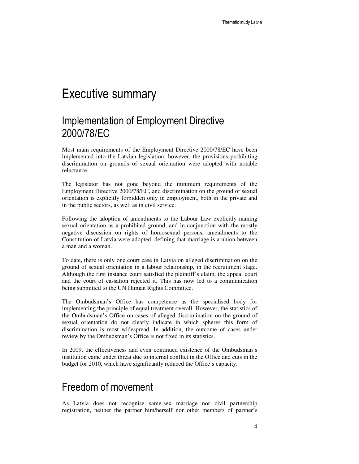## Executive summary

### Implementation of Employment Directive 2000/78/EC

Most main requirements of the Employment Directive 2000/78/EC have been implemented into the Latvian legislation; however, the provisions prohibiting discrimination on grounds of sexual orientation were adopted with notable reluctance.

The legislator has not gone beyond the minimum requirements of the Employment Directive 2000/78/EC, and discrimination on the ground of sexual orientation is explicitly forbidden only in employment, both in the private and in the public sectors, as well as in civil service.

Following the adoption of amendments to the Labour Law explicitly naming sexual orientation as a prohibited ground, and in conjunction with the mostly negative discussion on rights of homosexual persons, amendments to the Constitution of Latvia were adopted, defining that marriage is a union between a man and a woman.

To date, there is only one court case in Latvia on alleged discrimination on the ground of sexual orientation in a labour relationship, in the recruitment stage. Although the first instance court satisfied the plaintiff's claim, the appeal court and the court of cassation rejected it. This has now led to a communication being submitted to the UN Human Rights Committee.

The Ombudsman's Office has competence as the specialised body for implementing the principle of equal treatment overall. However, the statistics of the Ombudsman's Office on cases of alleged discrimination on the ground of sexual orientation do not clearly indicate in which spheres this form of discrimination is most widespread. In addition, the outcome of cases under review by the Ombudsman's Office is not fixed in its statistics.

In 2009, the effectiveness and even continued existence of the Ombudsman's institution came under threat due to internal conflict in the Office and cuts in the budget for 2010, which have significantly reduced the Office's capacity.

### Freedom of movement

As Latvia does not recognise same-sex marriage nor civil partnership registration, neither the partner him/herself nor other members of partner's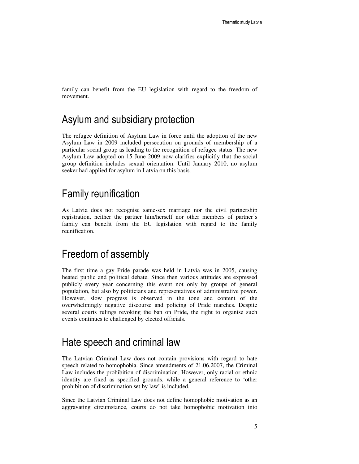family can benefit from the EU legislation with regard to the freedom of movement.

### Asylum and subsidiary protection

The refugee definition of Asylum Law in force until the adoption of the new Asylum Law in 2009 included persecution on grounds of membership of a particular social group as leading to the recognition of refugee status. The new Asylum Law adopted on 15 June 2009 now clarifies explicitly that the social group definition includes sexual orientation. Until January 2010, no asylum seeker had applied for asylum in Latvia on this basis.

### Family reunification

As Latvia does not recognise same-sex marriage nor the civil partnership registration, neither the partner him/herself nor other members of partner's family can benefit from the EU legislation with regard to the family reunification.

### Freedom of assembly

The first time a gay Pride parade was held in Latvia was in 2005, causing heated public and political debate. Since then various attitudes are expressed publicly every year concerning this event not only by groups of general population, but also by politicians and representatives of administrative power. However, slow progress is observed in the tone and content of the overwhelmingly negative discourse and policing of Pride marches. Despite several courts rulings revoking the ban on Pride, the right to organise such events continues to challenged by elected officials.

### Hate speech and criminal law

The Latvian Criminal Law does not contain provisions with regard to hate speech related to homophobia. Since amendments of 21.06.2007, the Criminal Law includes the prohibition of discrimination. However, only racial or ethnic identity are fixed as specified grounds, while a general reference to 'other prohibition of discrimination set by law' is included.

Since the Latvian Criminal Law does not define homophobic motivation as an aggravating circumstance, courts do not take homophobic motivation into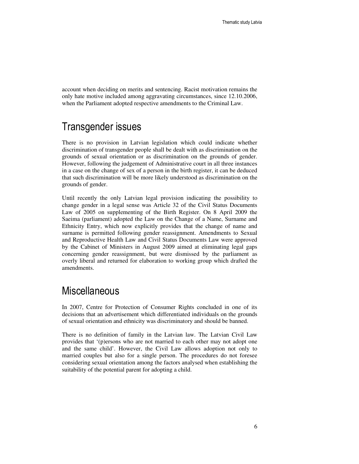account when deciding on merits and sentencing. Racist motivation remains the only hate motive included among aggravating circumstances, since 12.10.2006, when the Parliament adopted respective amendments to the Criminal Law.

### Transgender issues

There is no provision in Latvian legislation which could indicate whether discrimination of transgender people shall be dealt with as discrimination on the grounds of sexual orientation or as discrimination on the grounds of gender. However, following the judgement of Administrative court in all three instances in a case on the change of sex of a person in the birth register, it can be deduced that such discrimination will be more likely understood as discrimination on the grounds of gender.

Until recently the only Latvian legal provision indicating the possibility to change gender in a legal sense was Article 32 of the Civil Status Documents Law of 2005 on supplementing of the Birth Register. On 8 April 2009 the Saeima (parliament) adopted the Law on the Change of a Name, Surname and Ethnicity Entry, which now explicitly provides that the change of name and surname is permitted following gender reassignment. Amendments to Sexual and Reproductive Health Law and Civil Status Documents Law were approved by the Cabinet of Ministers in August 2009 aimed at eliminating legal gaps concerning gender reassignment, but were dismissed by the parliament as overly liberal and returned for elaboration to working group which drafted the amendments.

### **Miscellaneous**

In 2007, Centre for Protection of Consumer Rights concluded in one of its decisions that an advertisement which differentiated individuals on the grounds of sexual orientation and ethnicity was discriminatory and should be banned.

There is no definition of family in the Latvian law. The Latvian Civil Law provides that '(p)ersons who are not married to each other may not adopt one and the same child'. However, the Civil Law allows adoption not only to married couples but also for a single person. The procedures do not foresee considering sexual orientation among the factors analysed when establishing the suitability of the potential parent for adopting a child.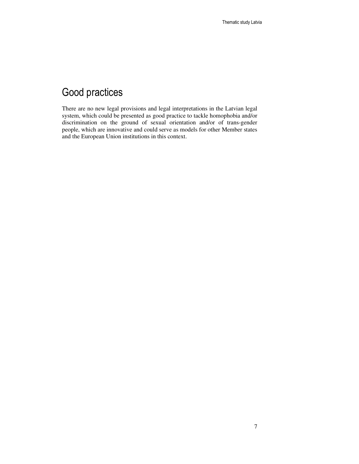## Good practices

There are no new legal provisions and legal interpretations in the Latvian legal system, which could be presented as good practice to tackle homophobia and/or discrimination on the ground of sexual orientation and/or of trans-gender people, which are innovative and could serve as models for other Member states and the European Union institutions in this context.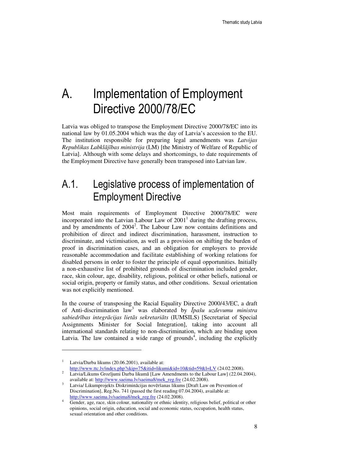# A. Implementation of Employment Directive 2000/78/EC

Latvia was obliged to transpose the Employment Directive 2000/78/EC into its national law by 01.05.2004 which was the day of Latvia's accession to the EU. The institution responsible for preparing legal amendments was *Latvijas Republikas Labkl*ā*j*ī*bas ministrija* (LM) [the Ministry of Welfare of Republic of Latvia]. Although with some delays and shortcomings, to date requirements of the Employment Directive have generally been transposed into Latvian law.

## A.1. Legislative process of implementation of Employment Directive

Most main requirements of Employment Directive 2000/78/EC were incorporated into the Latvian Labour Law of  $2001<sup>1</sup>$  during the drafting process, and by amendments of 2004<sup>2</sup>. The Labour Law now contains definitions and prohibition of direct and indirect discrimination, harassment, instruction to discriminate, and victimisation, as well as a provision on shifting the burden of proof in discrimination cases, and an obligation for employers to provide reasonable accommodation and facilitate establishing of working relations for disabled persons in order to foster the principle of equal opportunities. Initially a non-exhaustive list of prohibited grounds of discrimination included gender, race, skin colour, age, disability, religious, political or other beliefs, national or social origin, property or family status, and other conditions. Sexual orientation was not explicitly mentioned.

In the course of transposing the Racial Equality Directive 2000/43/EC, a draft of Anti-discrimination law<sup>3</sup> was elaborated by Ī*pašu uzdevumu ministra sabiedr*ī*bas integr*ā*cijas liet*ā*s sekretari*ā*ts* (IUMSILS) [Secretariat of Special Assignments Minister for Social Integration], taking into account all international standards relating to non-discrimination, which are binding upon Latvia. The law contained a wide range of grounds<sup>4</sup>, including the explicitly

<sup>&</sup>lt;sup>1</sup> Latvia/Darba likums (20.06.2001), available at: http://www.ttc.lv/index.php?skip=75&itid=likumi&id=10&tid=59&l=LV (24.02.2008).

<sup>&</sup>lt;sup>2</sup> Latvia/Likums Grozījumi Darba likumā [Law Amendments to the Labour Law] (22.04.2004), available at: http://www.saeima.lv/saeima8/mek\_reg.fre (24.02.2008).

<sup>3</sup> Latvia/ Likumprojekts Diskriminācijas novēršanas likums [Draft Law on Prevention of Discrimination], Reg.No. 741 (passed the first reading 07.04.2004), available at: http://www.saeima.lv/saeima8/mek\_reg.fre (24.02.2008).

<sup>4</sup> Gender, age, race, skin colour, nationality or ethnic identity, religious belief, political or other opinions, social origin, education, social and economic status, occupation, health status, sexual orientation and other conditions.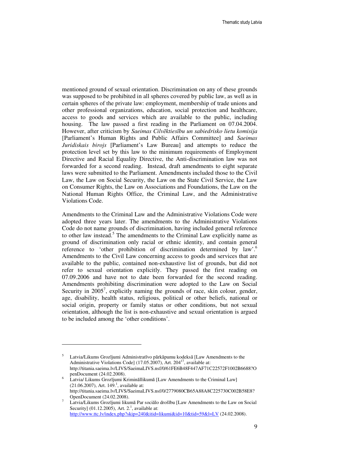mentioned ground of sexual orientation. Discrimination on any of these grounds was supposed to be prohibited in all spheres covered by public law, as well as in certain spheres of the private law: employment, membership of trade unions and other professional organizations, education, social protection and healthcare, access to goods and services which are available to the public, including housing. The law passed a first reading in the Parliament on 07.04.2004. However, after criticism by *Saeimas Cilv*ē*kties*ī*bu un sabiedrisko lietu komisija* [Parliament's Human Rights and Public Affairs Committee] and *Saeimas Juridiskais birojs* [Parliament's Law Bureau] and attempts to reduce the protection level set by this law to the minimum requirements of Employment Directive and Racial Equality Directive, the Anti-discrimination law was not forwarded for a second reading. Instead, draft amendments to eight separate laws were submitted to the Parliament. Amendments included those to the Civil Law, the Law on Social Security, the Law on the State Civil Service, the Law on Consumer Rights, the Law on Associations and Foundations, the Law on the National Human Rights Office, the Criminal Law, and the Administrative Violations Code.

Amendments to the Criminal Law and the Administrative Violations Code were adopted three years later. The amendments to the Administrative Violations Code do not name grounds of discrimination, having included general reference to other law instead.<sup>5</sup> The amendments to the Criminal Law explicitly name as ground of discrimination only racial or ethnic identity, and contain general reference to 'other prohibition of discrimination determined by law'.<sup>6</sup> Amendments to the Civil Law concerning access to goods and services that are available to the public, contained non-exhaustive list of grounds, but did not refer to sexual orientation explicitly. They passed the first reading on 07.09.2006 and have not to date been forwarded for the second reading. Amendments prohibiting discrimination were adopted to the Law on Social Security in  $2005^7$ , explicitly naming the grounds of race, skin colour, gender, age, disability, health status, religious, political or other beliefs, national or social origin, property or family status or other conditions, but not sexual orientation, although the list is non-exhaustive and sexual orientation is argued to be included among the 'other conditions'.

<sup>5</sup> Latvia/Likums Grozījumi Administratīvo pārkāpumu kodeksā [Law Amendments to the Administrative Violations Code] (17.05.2007), Art.  $204<sup>17</sup>$ , available at: http://titania.saeima.lv/LIVS/SaeimaLIVS.nsf/0/61FE6B48F447AF71C22572F1002B6688?O penDocument (24.02.2008).

<sup>6</sup> Latvia/ Likums Grozījumi Krimināllikumā [Law Amendments to the Criminal Law]  $(21.06.2007)$ , Art. 149.<sup>1</sup>, available at: http://titania.saeima.lv/LIVS/SaeimaLIVS.nsf/0/2779080CB65A88A8C225730C002B58E8? OpenDocument (24.02.2008).

<sup>7</sup> Latvia/Likums Grozījumi likumā Par sociālo drošību [Law Amendments to the Law on Social Security]  $(01.12.2005)$ , Art. 2.<sup>1</sup>, available at: http://www.ttc.lv/index.php?skip=240&itid=likumi&id=10&tid=59&l=LV (24.02.2008).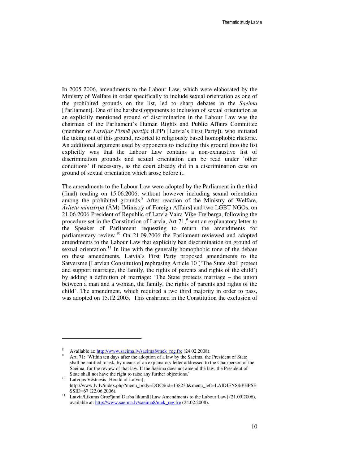In 2005-2006, amendments to the Labour Law, which were elaborated by the Ministry of Welfare in order specifically to include sexual orientation as one of the prohibited grounds on the list, led to sharp debates in the *Saeima* [Parliament]. One of the harshest opponents to inclusion of sexual orientation as an explicitly mentioned ground of discrimination in the Labour Law was the chairman of the Parliament's Human Rights and Public Affairs Committee (member of *Latvijas Pirm*ā *partija* (LPP) [Latvia's First Party]), who initiated the taking out of this ground, resorted to religiously based homophobic rhetoric. An additional argument used by opponents to including this ground into the list explicitly was that the Labour Law contains a non-exhaustive list of discrimination grounds and sexual orientation can be read under 'other conditions' if necessary, as the court already did in a discrimination case on ground of sexual orientation which arose before it.

The amendments to the Labour Law were adopted by the Parliament in the third (final) reading on 15.06.2006, without however including sexual orientation among the prohibited grounds.<sup>8</sup> After reaction of the Ministry of Welfare, Ā*rlietu ministrija* (ĀM) [Ministry of Foreign Affairs] and two LGBT NGOs, on 21.06.2006 President of Republic of Latvia Vaira Vīķe-Freiberga, following the procedure set in the Constitution of Latvia, Art  $71<sup>9</sup>$  sent an explanatory letter to the Speaker of Parliament requesting to return the amendments for parliamentary review.<sup>10</sup> On 21.09.2006 the Parliament reviewed and adopted amendments to the Labour Law that explicitly ban discrimination on ground of sexual orientation.<sup>11</sup> In line with the generally homophobic tone of the debate on these amendments, Latvia's First Party proposed amendments to the Satversme [Latvian Constitution] rephrasing Article 10 ('The State shall protect and support marriage, the family, the rights of parents and rights of the child') by adding a definition of marriage: 'The State protects marriage – the union between a man and a woman, the family, the rights of parents and rights of the child'. The amendment, which required a two third majority in order to pass, was adopted on 15.12.2005. This enshrined in the Constitution the exclusion of

<sup>8</sup> Available at: http://www.saeima.lv/saeima8/mek\_reg.fre (24.02.2008).

<sup>9</sup> Art. 71: 'Within ten days after the adoption of a law by the Saeima, the President of State shall be entitled to ask, by means of an explanatory letter addressed to the Chairperson of the Saeima, for the review of that law. If the Saeima does not amend the law, the President of State shall not have the right to raise any further objections.'

<sup>10</sup> Latvijas Vēstnesis [Herald of Latvia], http://www.lv.lv/index.php?menu\_body=DOC&id=138230&menu\_left=LAIDIENS&PHPSE SSID=67 (22.06.2006).

<sup>11</sup> Latvia/Likums Grozījumi Darba likumā [Law Amendments to the Labour Law] (21.09.2006), available at: http://www.saeima.lv/saeima8/mek\_reg.fre (24.02.2008).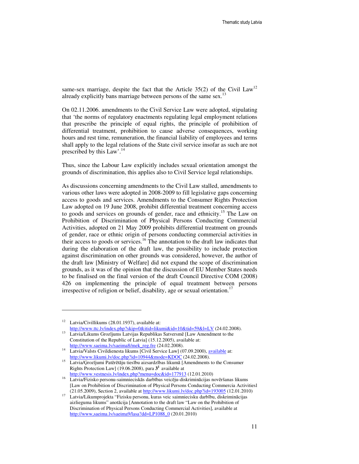same-sex marriage, despite the fact that the Article  $35(2)$  of the Civil Law<sup>12</sup> already explicitly bans marriage between persons of the same sex.<sup>1</sup>

On 02.11.2006. amendments to the Civil Service Law were adopted, stipulating that 'the norms of regulatory enactments regulating legal employment relations that prescribe the principle of equal rights, the principle of prohibition of differential treatment, prohibition to cause adverse consequences, working hours and rest time, remuneration, the financial liability of employees and terms shall apply to the legal relations of the State civil service insofar as such are not prescribed by this Law'.<sup>14</sup>

Thus, since the Labour Law explicitly includes sexual orientation amongst the grounds of discrimination, this applies also to Civil Service legal relationships.

As discussions concerning amendments to the Civil Law stalled, amendments to various other laws were adopted in 2008-2009 to fill legislative gaps concerning access to goods and services. Amendments to the Consumer Rights Protection Law adopted on 19 June 2008, prohibit differential treatment concerning access to goods and services on grounds of gender, race and ethnicity.<sup>15</sup> The Law on Prohibition of Discrimination of Physical Persons Conducting Commercial Activities, adopted on 21 May 2009 prohibits differential treatment on grounds of gender, race or ethnic origin of persons conducting commercial activities in their access to goods or services.<sup>16</sup> The annotation to the draft law indicates that during the elaboration of the draft law, the possibility to include protection against discrimination on other grounds was considered, however, the author of the draft law [Ministry of Welfare] did not expand the scope of discrimination grounds, as it was of the opinion that the discussion of EU Member States needs to be finalised on the final version of the draft Council Directive COM (2008) 426 on implementing the principle of equal treatment between persons irrespective of religion or belief, disability, age or sexual orientation.<sup>17</sup>

<sup>&</sup>lt;sup>12</sup> Latvia/Civillikums (28.01.1937), available at: http://www.ttc.lv/index.php?skip=0&itid=likumi&id=10&tid=59&l=LV (24.02.2008).

<sup>13</sup> Latvia/Likums Grozījums Latvijas Republikas Satversmē [Law Amendment to the Constitution of the Republic of Latvia] (15.12.2005), available at: http://www.saeima.lv/saeima8/mek\_reg.fre (24.02.2008).

<sup>&</sup>lt;sup>14</sup> Latvia/Valsts Civildienesta likums [Civil Service Law] (07.09.2000), available at: http://www.likumi.lv/doc.php?id=10944&mode=KDOC (24.02.2008).

<sup>15</sup> Latvia/Ģrozījumi Patērētāju tiesību aizsardzības likumā [Amendments to the Consumer Rights Protection Law] (19.06.2008), para **3 <sup>1</sup>**available at http://www.vestnesis.lv/index.php?menu=doc&id=177913 (12.01.2010)

<sup>16</sup> Latvia/Fizisko personu-saimnieciskās darbības veicēju-diskriminācijas novēršanas likums [Law on Prohibition of Discrimination of Physical Persons Conducting Commercia Activitiesl (21.05.2009), Section 2, available at http://www.likumi.lv/doc.php?id=193005 (12.01.2010)

<sup>17</sup> Latvia/Likumprojekta "Fizisku personu, kuras veic saimniecisku darbību, diskriminācijas aizlieguma likums" anotācija [Annotation to the draft law "Law on the Prohibition of Discrimination of Physical Persons Conducting Commercial Activities], available at http://www,saeima.lv/saeima9/lasa?dd=LP1088\_0 (20.01.2010)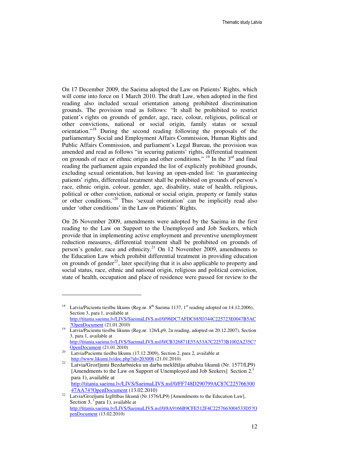On 17 December 2009, the Saeima adopted the Law on Patients' Rights, which will come into force on 1 March 2010. The draft Law, when adopted in the first reading also included sexual orientation among prohibited discrimination grounds. The provision read as follows: "It shall be prohibited to restrict patient's rights on grounds of gender, age, race, colour, religious, political or other convictions, national or social origin, family status or sexual orientation."<sup>18</sup> During the second reading following the proposals of the parliamentary Social and Employment Affairs Commission, Human Rights and Public Affairs Commission, and parliament's Legal Bureau, the provision was amended and read as follows "in securing patients' rights, differential treatment on grounds of race or ethnic origin and other conditions." <sup>19</sup> In the  $3<sup>rd</sup>$  and final reading the parliament again expanded the list of explicitly prohibited grounds, excluding sexual orientation, but leaving an open-ended list: 'in guaranteeing patients' rights, differential treatment shall be prohibited on grounds of person's race, ethnic origin, colour, gender, age, disability, state of health, religious, political or other conviction, national or social origin, property or family status or other conditions.'<sup>20</sup> Thus 'sexual orientation' can be implicitly read also under 'other conditions' in the Law on Patients' Rights.

On 26 November 2009, amendments were adopted by the Saeima in the first reading to the Law on Support to the Unemployed and Job Seekers, which provide that in implementing active employment and preventive unemployment reduction measures, differential treatment shall be prohibited on grounds of person's gender, race and ethnicity.<sup>21</sup> On 12 November 2009, amendments to the Education Law which prohibit differential treatment in providing education on grounds of gender<sup>22</sup>, later specifying that it is also applicable to property and social status, race, ethnic and national origin, religious and political conviction, state of health, occupation and place of residence were passed for review to the

Latvia/Pacientu tiesību likums (Reg.nr. 8<sup>th</sup> Saeima 1137, 1<sup>st</sup> reading adopted on 14.12.2006), Section 3, para 1, available at

http://titania.saeima.lv/LIVS/SaeimaLIVS.nsf/0/96DC7AFDC685D344C225723E0047B5AC ?OpenDocument (21.01.2010)

<sup>19</sup> Latvia/Pacientu tiesību likums (Reg.nr. 126/Lp9, 2n reading, adopted on 20.12.2007), Section 3, para 1, available at http://titania.saeima.lv/LIVS/SaeimaLIVS.nsf/0/CB326871E55A53A7C22573B1002A235C?

OpenDocument (21.01.2010) <sup>20</sup> Latvia/Pacientu tiesību likums (17.12.2009), Section 2, para 2, available at http://www.likumi.lv/doc.php?id=203008 (21.01.2010)

<sup>21</sup> Latvia/Grozījumi Bezdarbnieku un darba meklētāju atbalsta likumā (Nr. 1577/LP9) [Amendments to the Law on Support of Unemployed and Job Seekers] Section 2.<sup>1</sup> para 1), available at http://titania.saeima.lv/LIVS/SaeimaLIVS.nsf/0/FF748D290799AC87C225766300 47AA74?OpenDocument (13.02.2010)

 $22$  Latvia/Grozījumi Izglītības likumā (Nr.1576/LP9) [Amendments to the Education Law], Section 3. $<sup>1</sup>$  para 1), available at</sup> http://titania.saeima.lv/LIVS/SaeimaLIVS.nsf/0/8A9166B9CFE512F4C2257663004533D5?O penDocument (13.02.2010)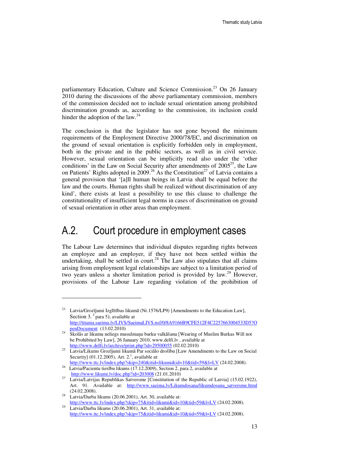parliamentary Education, Culture and Science Commission.<sup>23</sup> On 26 January 2010 during the discussions of the above parliamentary commission, members of the commission decided not to include sexual orientation among prohibited discrimination grounds as, according to the commission, its inclusion could hinder the adoption of the law. $^{24}$ 

The conclusion is that the legislator has not gone beyond the minimum requirements of the Employment Directive 2000/78/EC, and discrimination on the ground of sexual orientation is explicitly forbidden only in employment, both in the private and in the public sectors, as well as in civil service. However, sexual orientation can be implicitly read also under the 'other conditions' in the Law on Social Security after amendments of  $2005^{25}$ , the Law on Patients' Rights adopted in 2009.<sup>26</sup> As the Constitution<sup>27</sup> of Latvia contains a general provision that '[a]ll human beings in Latvia shall be equal before the law and the courts. Human rights shall be realized without discrimination of any kind', there exists at least a possibility to use this clause to challenge the constitutionality of insufficient legal norms in cases of discrimination on ground of sexual orientation in other areas than employment.

### A.2. Court procedure in employment cases

The Labour Law determines that individual disputes regarding rights between an employee and an employer, if they have not been settled within the undertaking, shall be settled in court.<sup>28</sup> The Law also stipulates that all claims arising from employment legal relationships are subject to a limitation period of two years unless a shorter limitation period is provided by  $law^{29}$  However, provisions of the Labour Law regarding violation of the prohibition of

http://www.ttc.lv/index.php?skip=240&itid=likumi&id=10&tid=59&l=LV (24.02.2008). <sup>26</sup> Latvia/Pacientu tiesību likums (17.12.2009), Section 2, para 2, available at

<sup>&</sup>lt;sup>23</sup> Latvia/Grozījumi Izglītības likumā (Nr.1576/LP9) [Amendments to the Education Law], Section 3. $<sup>1</sup>$  para 5), available at</sup> http://titania.saeima.lv/LIVS/SaeimaLIVS.nsf/0/8A9166B9CFE512F4C2257663004533D5?O

penDocument (13.02.2010) <sup>24</sup> Skolās ar likumu neliegs musulmaņu burku valkāšanu [Wearing of Muslim Burkas Will not be Prohibited by Law], 26 January 2010, www.delfi.lv , available at http://www.delfi.lv/archive/print.php?id=29500055 (02.02.2010)

<sup>25</sup> Latvia/Likums Grozījumi likumā Par sociālo drošību [Law Amendments to the Law on Social Security]  $(01.12.2005)$ , Art. 2.<sup>1</sup>, available at:

http://www.likumi.lv/doc.php?id=203008 (21.01.2010) <sup>27</sup> Latvia/Latvijas Republikas Satversme [Constitution of the Republic of Latvia] (15.02.1922),

Art. 91. Available at: http://www.saeima.lv/Likumdosana/likumdosana\_satversme.html (24.02.2008).

<sup>28</sup> Latvia/Darba likums (20.06.2001), Art. 30, available at: http://www.ttc.lv/index.php?skip=75&itid=likumi&id=10&tid=59&l=LV (24.02.2008).

Latvia/Darba likums (20.06.2001), Art. 31, available at: http://www.ttc.lv/index.php?skip=75&itid=likumi&id=10&tid=59&l=LV (24.02.2008).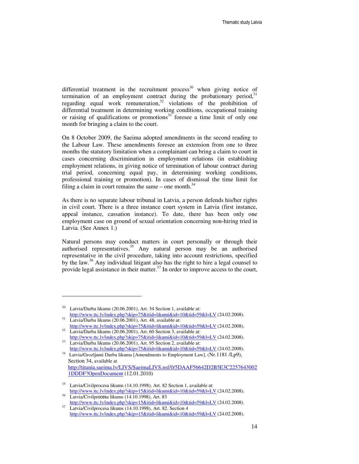differential treatment in the recruitment process<sup>30</sup> when giving notice of termination of an employment contract during the probationary period, $31$ regarding equal work remuneration,<sup>32</sup> violations of the prohibition of differential treatment in determining working conditions, occupational training or raising of qualifications or promotions<sup>33</sup> foresee a time limit of only one month for bringing a claim to the court.

On 8 October 2009, the Saeima adopted amendments in the second reading to the Labour Law. These amendments foresee an extension from one to three months the statutory limitation when a complainant can bring a claim to court in cases concerning discrimination in employment relations (in establishing employment relations, in giving notice of termination of labour contract during trial period, concerning equal pay, in determining working conditions, professional training or promotion). In cases of dismissal the time limit for filing a claim in court remains the same – one month.<sup>34</sup>

As there is no separate labour tribunal in Latvia, a person defends his/her rights in civil court. There is a three instance court system in Latvia (first instance, appeal instance, cassation instance). To date, there has been only one employment case on ground of sexual orientation concerning non-hiring tried in Latvia. (See Annex 1.)

Natural persons may conduct matters in court personally or through their authorised representatives. $35$  Any natural person may be an authorised representative in the civil procedure, taking into account restrictions, specified by the law.<sup>36</sup> Any individual litigant also has the right to hire a legal counsel to provide legal assistance in their matter.<sup>37</sup> In order to improve access to the court,

<sup>30</sup> Latvia/Darba likums (20.06.2001), Art. 34 Section 1, available at: http://www.ttc.lv/index.php?skip=75&itid=likumi&id=10&tid=59&l=LV (24.02.2008).

<sup>31</sup> Latvia/Darba likums (20.06.2001), Art. 48, available at: http://www.ttc.lv/index.php?skip=75&itid=likumi&id=10&tid=59&l=LV (24.02.2008).  $32 \text{ Latvia/Darba likums } (20.06.2001)$ , Art. 60 Section 3, available at:

http://www.ttc.lv/index.php?skip=75&itid=likumi&id=10&tid=59&l=LV (24.02.2008). <sup>33</sup> Latvia/Darba likums (20.06.2001), Art. 95 Section 2, available at:

http://www.ttc.lv/index.php?skip=75&itid=likumi&id=10&tid=59&l=LV (24.02.2008).

<sup>34</sup> Latvia/Grozījumi Darba likuma [Amendments to Employment Law], (Nr.1181 /Lp9), Section 34, available at http://titania.saeima.lv/LIVS/SaeimaLIVS.nsf/0/5DAAF56642D2B5E3C2257643002 1DDDF?OpenDocument (12.01.2010)

<sup>35</sup> Latvia/Civilprocesa likums (14.10.1998), Art. 82 Section 1, available at: http://www.ttc.lv/index.php?skip=15&itid=likumi&id=10&tid=59&l=LV (24.02.2008).

<sup>36</sup> Latvia/Civilprocesa likums (14.10.1998), Art. 83 http://www.ttc.lv/index.php?skip=15&itid=likumi&id=10&tid=59&l=LV (24.02.2008). Latvia/Civilprocesa likums (14.10.1998), Art. 82. Section 4

http://www.ttc.lv/index.php?skip=15&itid=likumi&id=10&tid=59&l=LV (24.02.2008).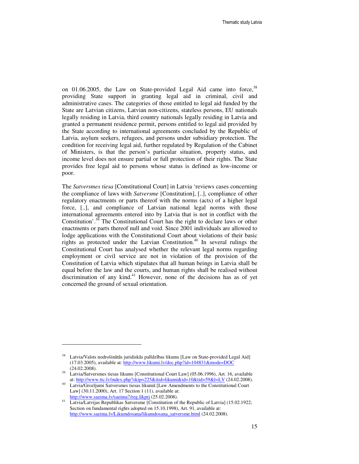on  $01.06.2005$ , the Law on State-provided Legal Aid came into force,  $38$ providing State support in granting legal aid in criminal, civil and administrative cases. The categories of those entitled to legal aid funded by the State are Latvian citizens, Latvian non-citizens, stateless persons, EU nationals legally residing in Latvia, third country nationals legally residing in Latvia and granted a permanent residence permit, persons entitled to legal aid provided by the State according to international agreements concluded by the Republic of Latvia, asylum seekers, refugees, and persons under subsidiary protection. The condition for receiving legal aid, further regulated by Regulation of the Cabinet of Ministers, is that the person's particular situation, property status, and income level does not ensure partial or full protection of their rights. The State provides free legal aid to persons whose status is defined as low-income or poor.

The *Satversmes tiesa* [Constitutional Court] in Latvia 'reviews cases concerning the compliance of laws with *Satversme* [Constitution], [..], compliance of other regulatory enactments or parts thereof with the norms (acts) of a higher legal force, [..], and compliance of Latvian national legal norms with those international agreements entered into by Latvia that is not in conflict with the Constitution'.<sup>39</sup> The Constitutional Court has the right to declare laws or other enactments or parts thereof null and void. Since 2001 individuals are allowed to lodge applications with the Constitutional Court about violations of their basic rights as protected under the Latvian Constitution.<sup>40</sup> In several rulings the Constitutional Court has analysed whether the relevant legal norms regarding employment or civil service are not in violation of the provision of the Constitution of Latvia which stipulates that all human beings in Latvia shall be equal before the law and the courts, and human rights shall be realised without discrimination of any kind. $41$  However, none of the decisions has as of yet concerned the ground of sexual orientation.

<sup>&</sup>lt;sup>38</sup> Latvia/Valsts nodrošinātās juridiskās palīdzības likums [Law on State-provided Legal Aid] (17.03.2005), available at: http://www.likumi.lv/doc.php?id=104831&mode=DOC (24.02.2008).

<sup>&</sup>lt;sup>39</sup> Latvia/Satversmes tiesas likums [Constitutional Court Law] (05.06.1996), Art. 16, available at: http://www.ttc.lv/index.php?skip=225&itid=likumi&id=10&tid=59&l=LV (24.02.2008).

<sup>40</sup> Latvia/Grozījumi Satversmes tiesas likumā [Law Amendments to the Constitutional Court Law] (30.11.2000), Art. 17 Section 1 (11), available at: http://www.saeima.lv/saeima7/reg.likprj (25.02.2008).

<sup>41</sup> Latvia/Latvijas Republikas Satversme [Constitution of the Republic of Latvia] (15.02.1922; Section on fundamental rights adopted on 15.10.1998), Art. 91, available at: http://www.saeima.lv/Likumdosana/likumdosana\_satversme.html (24.02.2008).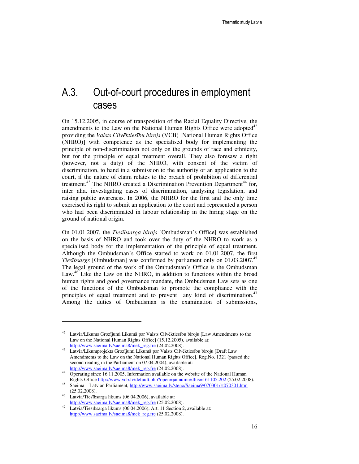## A.3. Out-of-court procedures in employment cases

On 15.12.2005, in course of transposition of the Racial Equality Directive, the amendments to the Law on the National Human Rights Office were adopted  $42$ providing the *Valsts Cilv*ē*kties*ī*bu birojs* (VCB) [National Human Rights Office (NHRO)] with competence as the specialised body for implementing the principle of non-discrimination not only on the grounds of race and ethnicity, but for the principle of equal treatment overall. They also foresaw a right (however, not a duty) of the NHRO, with consent of the victim of discrimination, to hand in a submission to the authority or an application to the court, if the nature of claim relates to the breach of prohibition of differential treatment.<sup>43</sup> The NHRO created a Discrimination Prevention Department<sup>44</sup> for, inter alia, investigating cases of discrimination, analysing legislation, and raising public awareness. In 2006, the NHRO for the first and the only time exercised its right to submit an application to the court and represented a person who had been discriminated in labour relationship in the hiring stage on the ground of national origin.

On 01.01.2007, the *Ties*ī*bsarga birojs* [Ombudsman's Office] was established on the basis of NHRO and took over the duty of the NHRO to work as a specialised body for the implementation of the principle of equal treatment. Although the Ombudsman's Office started to work on 01.01.2007, the first *Tiesībsargs* [Ombudsman] was confirmed by parliament only on 01.03.2007.<sup>45</sup> The legal ground of the work of the Ombudsman's Office is the Ombudsman Law.<sup>46</sup> Like the Law on the NHRO, in addition to functions within the broad human rights and good governance mandate, the Ombudsman Law sets as one of the functions of the Ombudsman to promote the compliance with the principles of equal treatment and to prevent any kind of discrimination.<sup>47</sup> Among the duties of Ombudsman is the examination of submissions,

<sup>42</sup> Latvia/Likums Grozījumi Likumā par Valsts Cilvēktiesību biroju [Law Amendments to the Law on the National Human Rights Office] (15.12.2005), available at: http://www.saeima.lv/saeima8/mek\_reg.fre (24.02.2008).

<sup>43</sup> Latvia/Likumprojekts Grozījumi Likumā par Valsts Cilvēktiesību biroju [Draft Law Amendments to the Law on the National Human Rights Office], Reg.No. 1321 (passed the second reading in the Parliament on 07.04.2004), available at: http://www.saeima.lv/saeima8/mek\_reg.fre (24.02.2008).

<sup>&</sup>lt;sup>44</sup> Operating since 16.11.2005. Information available on the website of the National Human Rights Office http://www.vcb.lv/default.php?open=jaunumi&this=161105.202 (25.02.2008).

<sup>45</sup> Saeima – Latvian Parliament, http://www.saeima.lv/steno/Saeima9/070301/st070301.htm (25.02.2008).

<sup>46</sup> Latvia/Tiesībsarga likums (06.04.2006), available at: http://www.saeima.lv/saeima8/mek\_reg.fre (25.02.2008).

<sup>47</sup> Latvia/Tiesībsarga likums (06.04.2006), Art. 11 Section 2, available at: http://www.saeima.lv/saeima8/mek\_reg.fre (25.02.2008).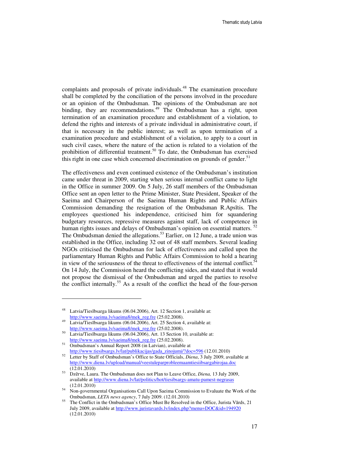complaints and proposals of private individuals.<sup>48</sup> The examination procedure shall be completed by the conciliation of the persons involved in the procedure or an opinion of the Ombudsman. The opinions of the Ombudsman are not binding, they are recommendations.<sup>49</sup> The Ombudsman has a right, upon termination of an examination procedure and establishment of a violation, to defend the rights and interests of a private individual in administrative court, if that is necessary in the public interest; as well as upon termination of a examination procedure and establishment of a violation, to apply to a court in such civil cases, where the nature of the action is related to a violation of the prohibition of differential treatment.<sup>50</sup> To date, the Ombudsman has exercised this right in one case which concerned discrimination on grounds of gender.<sup>51</sup>

The effectiveness and even continued existence of the Ombudsman's institution came under threat in 2009, starting when serious internal conflict came to light in the Office in summer 2009. On 5 July, 26 staff members of the Ombudsman Office sent an open letter to the Prime Minister, State President, Speaker of the Saeima and Chairperson of the Saeima Human Rights and Public Affairs Commission demanding the resignation of the Ombudsman R.Apsītis. The employees questioned his independence, criticised him for squandering budgetary resources, repressive measures against staff, lack of competence in human rights issues and delays of Ombudsman's opinion on essential matters.<sup>52</sup> The Ombudsman denied the allegations.<sup>53</sup> Earlier, on 12 June, a trade union was established in the Office, including 32 out of 48 staff members. Several leading NGOs criticised the Ombudsman for lack of effectiveness and called upon the parliamentary Human Rights and Public Affairs Commission to hold a hearing in view of the seriousness of the threat to effectiveness of the internal conflict.<sup>5</sup> On 14 July, the Commission heard the conflicting sides, and stated that it would not propose the dismissal of the Ombudsman and urged the parties to resolve the conflict internally.<sup>55</sup> As a result of the conflict the head of the four-person

<sup>48</sup> Latvia/Tiesībsarga likums (06.04.2006), Art. 12 Section 1, available at: http://www.saeima.lv/saeima8/mek\_reg.fre (25.02.2008).

<sup>&</sup>lt;sup>49</sup> Latvia/Tiesībsarga likums (06.04.2006), Art. 25 Section 4, available at: http://www.saeima.lv/saeima8/mek\_reg.fre (25.02.2008).

<sup>50</sup> Latvia/Tiesībsarga likums (06.04.2006), Art. 13 Section 10, available at: http://www.saeima.lv/saeima8/mek\_reg.fre (25.02.2008).

<sup>51</sup> Ombudsman's Annual Report 2008 (in Latvian), available at http://www.tiesibsargs.lv/lat/publikacijas/gada\_zinojumi/?doc=596 (12.01.2010)

<sup>52</sup> Letter by Staff of Ombudsman's Office to State Officials, *Diena*, 3 July 2009, available at http://www.diena.lv/upload/manual/veestuleparprobleemaamtiesiibsargabirojaa.doc (12.01.2010)

<sup>53</sup> Dzērve, Laura. The Ombudsman does not Plan to Leave Office, *Diena,* 13 July 2009, available at http://www.diena.lv/lat/politics/hot/tiesibsargs-amatu-pamest-negrasas (12.01.2010)

<sup>54</sup> Non-governmental Organisations Call Upon Saeima Commission to Evaluate the Work of the Ombudsman, *LETA news agency*, 7 July 2009. (12.01.2010)

<sup>&</sup>lt;sup>55</sup> The Conflict in the Ombudsman's Office Must Be Resolved in the Office, Jurista Vārds, 21 July 2009, available at http://www.juristavards.lv/index.php?menu=DOC&id=194920 (12.01.2010)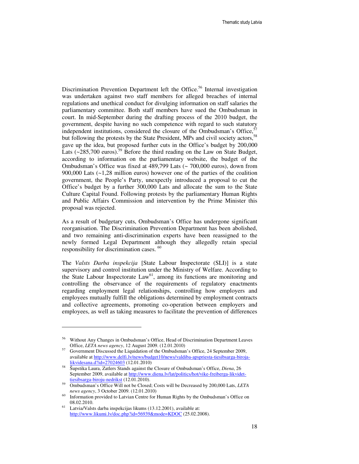Discrimination Prevention Department left the Office.<sup>56</sup> Internal investigation was undertaken against two staff members for alleged breaches of internal regulations and unethical conduct for divulging information on staff salaries the parliamentary committee. Both staff members have sued the Ombudsman in court. In mid-September during the drafting process of the 2010 budget, the government, despite having no such competence with regard to such statutory independent institutions, considered the closure of the Ombudsman's Office, but following the protests by the State President, MPs and civil society actors,<sup>58</sup> gave up the idea, but proposed further cuts in the Office's budget by 200,000 Lats  $(*285,700 \text{ euros})$ <sup>59</sup> Before the third reading on the Law on State Budget, according to information on the parliamentary website, the budget of the Ombudsman's Office was fixed at 489,799 Lats (~ 700,000 euros), down from 900,000 Lats (~1,28 million euros) however one of the parties of the coalition government, the People's Party, unexpectly introduced a proposal to cut the Office's budget by a further 300,000 Lats and allocate the sum to the State Culture Capital Found. Following protests by the parliamentary Human Rights and Public Affairs Commission and intervention by the Prime Minister this proposal was rejected.

As a result of budgetary cuts, Ombudsman's Office has undergone significant reorganisation. The Discrimination Prevention Department has been abolished, and two remaining anti-discrimination experts have been reassigned to the newly formed Legal Department although they allegedly retain special responsibility for discrimination cases. <sup>60</sup>

The *Valsts Darba inspekcija* [State Labour Inspectorate (SLI)] is a state supervisory and control institution under the Ministry of Welfare. According to the State Labour Inspectorate Law<sup>61</sup>, among its functions are monitoring and controlling the observance of the requirements of regulatory enactments regarding employment legal relationships, controlling how employers and employees mutually fulfill the obligations determined by employment contracts and collective agreements, promoting co-operation between employers and employees, as well as taking measures to facilitate the prevention of differences

<sup>56</sup> Without Any Changes in Ombudsman's Office, Head of Discrimination Department Leaves Office, *LETA news agency*, 12 August 2009. (12.01.2010)

<sup>57</sup> Government Discussed the Liquidation of the Ombudsman's Office, 24 September 2009, available at http://www.delfi.lv/news/budget10/news/valdiba-apspriesta-tiesibsarga-birojalikvidesana.d?id=27024603 (12.01.2010)

<sup>58</sup> Šupstika Laura, Zatlers Stands against the Closure of Ombudsman's Office, *Diena*, 26 September 2009, available at http://www.diena.lv/lat/politics/hot/vike-freiberga-likvidettiesibsarga-biroju-nedrikst (12.01.2010).

<sup>59</sup> Ombudsman's Office Will not be Closed; Costs will be Decreased by 200,000 Lats, *LETA news agency*, 3 October 2009. (12.01.2010)

<sup>&</sup>lt;sup>60</sup> Information provided to Latvian Centre for Human Rights by the Ombudsman's Office on 08.02.2010.

 $61$  Latvia/Valsts darba inspekcijas likums (13.12.2001), available at: http://www.likumi.lv/doc.php?id=56939&mode=KDOC (25.02.2008).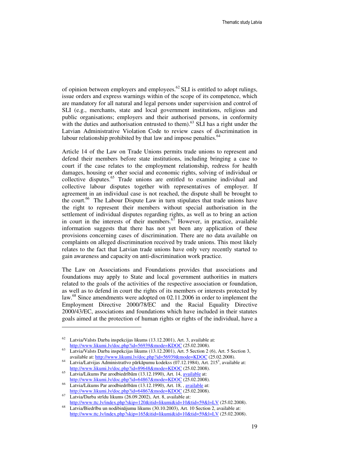of opinion between employers and employees.<sup>62</sup> SLI is entitled to adopt rulings, issue orders and express warnings within of the scope of its competence, which are mandatory for all natural and legal persons under supervision and control of SLI (e.g., merchants, state and local government institutions, religious and public organisations; employers and their authorised persons, in conformity with the duties and authorisation entrusted to them). $63$  SLI has a right under the Latvian Administrative Violation Code to review cases of discrimination in labour relationship prohibited by that law and impose penalties. $64$ 

Article 14 of the Law on Trade Unions permits trade unions to represent and defend their members before state institutions, including bringing a case to court if the case relates to the employment relationship, redress for health damages, housing or other social and economic rights, solving of individual or collective disputes.<sup>65</sup> Trade unions are entitled to examine individual and collective labour disputes together with representatives of employer. If agreement in an individual case is not reached, the dispute shall be brought to the court.<sup>66</sup> The Labour Dispute Law in turn stipulates that trade unions have the right to represent their members without special authorisation in the settlement of individual disputes regarding rights, as well as to bring an action in court in the interests of their members. $67$  However, in practice, available information suggests that there has not yet been any application of these provisions concerning cases of discrimination. There are no data available on complaints on alleged discrimination received by trade unions. This most likely relates to the fact that Latvian trade unions have only very recently started to gain awareness and capacity on anti-discrimination work practice.

The Law on Associations and Foundations provides that associations and foundations may apply to State and local government authorities in matters related to the goals of the activities of the respective association or foundation, as well as to defend in court the rights of its members or interests protected by law.<sup>68</sup> Since amendments were adopted on 02.11.2006 in order to implement the Employment Directive 2000/78/EC and the Racial Equality Directive 2000/43/EC, associations and foundations which have included in their statutes goals aimed at the protection of human rights or rights of the individual, have a

 $62$  Latvia/Valsts Darba inspekcijas likums (13.12.2001), Art. 3, available at: http://www.likumi.lv/doc.php?id=56939&mode=KDOC (25.02.2008).

Latvia/Valsts Darba inspekcijas likums (13.12.2001), Art. 5 Section 2 (6), Art. 5 Section 3, available at: http://www.likumi.lv/doc.php?id=56939&mode=KDOC (25.02.2008).

 $64$  Latvia/Latvijas Administratīvo pārkāpumu kodekss (07.12.1984), Art. 215<sup>3</sup>, available at: http://www.likumi.lv/doc.php?id=89648&mode=KDOC (25.02.2008).

Latvia/Likums Par arodbiedrībām (13.12.1990), Art. 14, available at: http://www.likumi.lv/doc.php?id=64867&mode=KDOC (25.02.2008).

<sup>66</sup> Latvia/Likums Par arodbiedrībām (13.12.1990), Art. 18, , available at: http://www.likumi.lv/doc.php?id=64867&mode=KDOC (25.02.2008).

<sup>67</sup> Latvia/Darba strīdu likums (26.09.2002), Art. 8, available at: http://www.ttc.lv/index.php?skip=120&itid=likumi&id=10&tid=59&l=LV (25.02.2008).

Latvia/Biedrību un nodibinājumu likums (30.10.2003), Art. 10 Section 2, available at: http://www.ttc.lv/index.php?skip=165&itid=likumi&id=10&tid=59&l=LV (25.02.2008).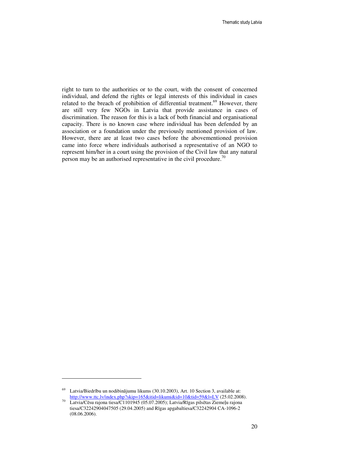right to turn to the authorities or to the court, with the consent of concerned individual, and defend the rights or legal interests of this individual in cases related to the breach of prohibition of differential treatment.<sup>69</sup> However, there are still very few NGOs in Latvia that provide assistance in cases of discrimination. The reason for this is a lack of both financial and organisational capacity. There is no known case where individual has been defended by an association or a foundation under the previously mentioned provision of law. However, there are at least two cases before the abovementioned provision came into force where individuals authorised a representative of an NGO to represent him/her in a court using the provision of the Civil law that any natural person may be an authorised representative in the civil procedure.<sup>70</sup>

 $69$  Latvia/Biedrību un nodibinājumu likums (30.10.2003), Art. 10 Section 3, available at: http://www.ttc.lv/index.php?skip=165&itid=likumi&id=10&tid=59&l=LV (25.02.2008).

<sup>70</sup> Latvia/Cēsu rajona tiesa/C1101945 (05.07.2005); Latvia/Rīgas pilsētas Ziemeļu rajona tiesa/C32242904047505 (29.04.2005) and Rīgas apgabaltiesa/C32242904 CA-1096-2 (08.06.2006).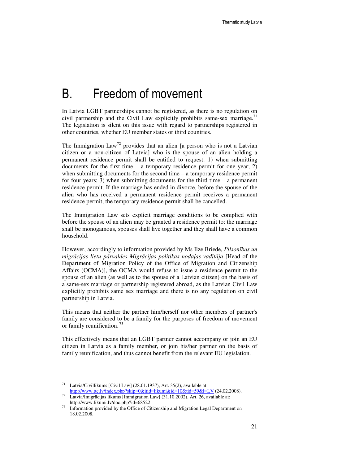## B. Freedom of movement

In Latvia LGBT partnerships cannot be registered, as there is no regulation on civil partnership and the Civil Law explicitly prohibits same-sex marriage.<sup>71</sup> The legislation is silent on this issue with regard to partnerships registered in other countries, whether EU member states or third countries.

The Immigration  $Law^{72}$  provides that an alien [a person who is not a Latvian citizen or a non-citizen of Latvia] who is the spouse of an alien holding a permanent residence permit shall be entitled to request: 1) when submitting documents for the first time  $-$  a temporary residence permit for one year; 2) when submitting documents for the second time – a temporary residence permit for four years; 3) when submitting documents for the third time – a permanent residence permit. If the marriage has ended in divorce, before the spouse of the alien who has received a permanent residence permit receives a permanent residence permit, the temporary residence permit shall be cancelled.

The Immigration Law sets explicit marriage conditions to be complied with before the spouse of an alien may be granted a residence permit to: the marriage shall be monogamous, spouses shall live together and they shall have a common household.

However, accordingly to information provided by Ms Ilze Briede, *Pilson*ī*bas un migr*ā*cijas lietu p*ā*rvaldes Migr*ā*cijas politikas noda*ļ*as vad*ī*t*ā*ja* [Head of the Department of Migration Policy of the Office of Migration and Citizenship Affairs (OCMA)], the OCMA would refuse to issue a residence permit to the spouse of an alien (as well as to the spouse of a Latvian citizen) on the basis of a same-sex marriage or partnership registered abroad, as the Latvian Civil Law explicitly prohibits same sex marriage and there is no any regulation on civil partnership in Latvia.

This means that neither the partner him/herself nor other members of partner's family are considered to be a family for the purposes of freedom of movement or family reunification.<sup>73</sup>

This effectively means that an LGBT partner cannot accompany or join an EU citizen in Latvia as a family member, or join his/her partner on the basis of family reunification, and thus cannot benefit from the relevant EU legislation.

<sup>&</sup>lt;sup>71</sup> Latvia/Civillikums [Civil Law] (28.01.1937), Art. 35(2), available at: http://www.ttc.lv/index.php?skip=0&itid=likumi&id=10&tid=59&l=LV (24.02.2008).

<sup>72</sup> Latvia/Imigrācijas likums [Immigration Law] (31.10.2002), Art. 26, available at: http://www.likumi.lv/doc.php?id=68522

Information provided by the Office of Citizenship and Migration Legal Department on 18.02.2008.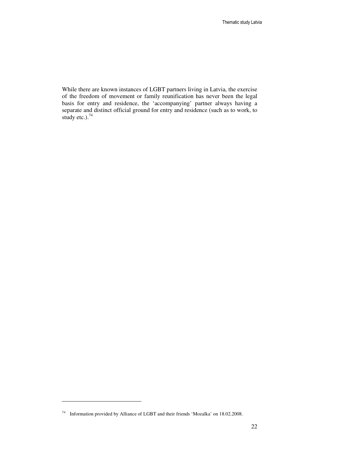While there are known instances of LGBT partners living in Latvia, the exercise of the freedom of movement or family reunification has never been the legal basis for entry and residence, the 'accompanying' partner always having a separate and distinct official ground for entry and residence (such as to work, to study etc.). $74$ 

<sup>74</sup> Information provided by Alliance of LGBT and their friends 'Mozaīka' on 18.02.2008.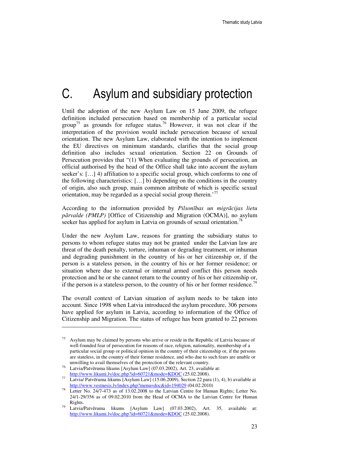## C. Asylum and subsidiary protection

Until the adoption of the new Asylum Law on 15 June 2009, the refugee definition included persecution based on membership of a particular social group<sup>75</sup> as grounds for refugee status.<sup>76</sup> However, it was not clear if the interpretation of the provision would include persecution because of sexual orientation. The new Asylum Law, elaborated with the intention to implement the EU directives on minimum standards, clarifies that the social group definition also includes sexual orientation. Section 22 on Grounds of Persecution provides that "(1) When evaluating the grounds of persecution, an official authorised by the head of the Office shall take into account the asylum seeker's: […] 4) affiliation to a specific social group, which conforms to one of the following characteristics: […] b) depending on the conditions in the country of origin, also such group, main common attribute of which is specific sexual orientation, may be regarded as a special social group therein.<sup>'77</sup>

According to the information provided by *Pilson*ī*bas un migr*ā*cijas lietu p*ā*rvalde (PMLP)* [Office of Citizenship and Migration (OCMA)], no asylum seeker has applied for asylum in Latvia on grounds of sexual orientation.<sup>78</sup>

Under the new Asylum Law, reasons for granting the subsidiary status to persons to whom refugee status may not be granted under the Latvian law are threat of the death penalty, torture, inhuman or degrading treatment, or inhuman and degrading punishment in the country of his or her citizenship or, if the person is a stateless person, in the country of his or her former residence; or situation where due to external or internal armed conflict this person needs protection and he or she cannot return to the country of his or her citizenship or, if the person is a stateless person, to the country of his or her former residence.<sup>79</sup>

The overall context of Latvian situation of asylum needs to be taken into account. Since 1998 when Latvia introduced the asylum procedure, 306 persons have applied for asylum in Latvia, according to information of the Office of Citizenship and Migration. The status of refugee has been granted to 22 persons

<sup>75</sup> Asylum may be claimed by persons who arrive or reside in the Republic of Latvia because of well-founded fear of persecution for reasons of race, religion, nationality, membership of a particular social group or political opinion in the country of their citizenship or, if the persons are stateless, in the country of their former residence, and who due to such fears are unable or unwilling to avail themselves of the protection of the relevant country.

Latvia/Patvēruma likums [Asylum Law] (07.03.2002), Art. 23, available at: http://www.likumi.lv/doc.php?id=60721&mode=KDOC (25.02.2008).

<sup>77</sup> Latvia/ Patvēruma likums [Asylum Law] (15.06.2009), Section 22 para (1), 4), b) available at http://www.vestnesis.lv/index.php?menu=doc&id=194029 (04.02.2010)

<sup>78</sup> Letter No. 24/7-473 as of 13.02.2008 to the Latvian Centre for Human Rights; Letter No. 24/1-29/356 as of 09.02.2010 from the Head of OCMA to the Latvian Centre for Human Rights.

<sup>79</sup> Latvia/Patvēruma likums [Asylum Law] (07.03.2002), Art. 35, available at: http://www.likumi.lv/doc.php?id=60721&mode=KDOC (25.02.2008).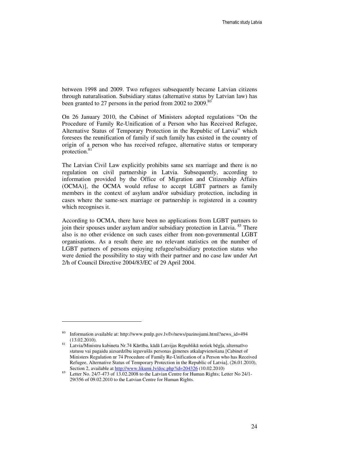between 1998 and 2009. Two refugees subsequently became Latvian citizens through naturalisation. Subsidiary status (alternative status by Latvian law) has been granted to 27 persons in the period from 2002 to 2009.<sup>80</sup>

On 26 January 2010, the Cabinet of Ministers adopted regulations "On the Procedure of Family Re-Unification of a Person who has Received Refugee, Alternative Status of Temporary Protection in the Republic of Latvia" which foresees the reunification of family if such family has existed in the country of origin of a person who has received refugee, alternative status or temporary protection.<sup>81</sup>

The Latvian Civil Law explicitly prohibits same sex marriage and there is no regulation on civil partnership in Latvia. Subsequently, according to information provided by the Office of Migration and Citizenship Affairs (OCMA)], the OCMA would refuse to accept LGBT partners as family members in the context of asylum and/or subsidiary protection, including in cases where the same-sex marriage or partnership is registered in a country which recognises it.

According to OCMA, there have been no applications from LGBT partners to join their spouses under asylum and/or subsidiary protection in Latvia.<sup>85</sup> There also is no other evidence on such cases either from non-governmental LGBT organisations. As a result there are no relevant statistics on the number of LGBT partners of persons enjoying refugee/subsidiary protection status who were denied the possibility to stay with their partner and no case law under Art 2/h of Council Directive 2004/83/EC of 29 April 2004.

<sup>80</sup> Information available at: http://www.pmlp.gov.lv/lv/news/pazinojumi.html?news\_id=494 (13.02.2010).

<sup>81</sup> Latvia/Ministru kabineta Nr.74 Kārtība, kādā Latvijas Republikā notiek bēgļa, alternatīvo statusu vai pagaidu aizsardzību ieguvušās personas ģimenes atkalapvienošana [Cabinet of Ministers Regulation nr 74 Procedure of Family Re-Unification of a Person who has Received Refugee, Alternative Status of Temporary Protection in the Republic of Latvia], (26.01.2010), Section 2, available at http://www.likumi.lv/doc.php?id=204326 (10.02.2010)

<sup>85</sup> Letter No. 24/7-473 of 13.02.2008 to the Latvian Centre for Human Rights; Letter No 24/1- 29/356 of 09.02.2010 to the Latvian Centre for Human Rights.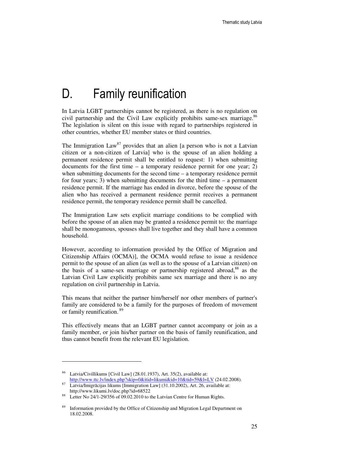## D. Family reunification

In Latvia LGBT partnerships cannot be registered, as there is no regulation on civil partnership and the Civil Law explicitly prohibits same-sex marriage.<sup>86</sup> The legislation is silent on this issue with regard to partnerships registered in other countries, whether EU member states or third countries.

The Immigration  $Law^{87}$  provides that an alien [a person who is not a Latvian citizen or a non-citizen of Latvia] who is the spouse of an alien holding a permanent residence permit shall be entitled to request: 1) when submitting documents for the first time  $-$  a temporary residence permit for one year; 2) when submitting documents for the second time – a temporary residence permit for four years; 3) when submitting documents for the third time – a permanent residence permit. If the marriage has ended in divorce, before the spouse of the alien who has received a permanent residence permit receives a permanent residence permit, the temporary residence permit shall be cancelled.

The Immigration Law sets explicit marriage conditions to be complied with before the spouse of an alien may be granted a residence permit to: the marriage shall be monogamous, spouses shall live together and they shall have a common household.

However, according to information provided by the Office of Migration and Citizenship Affairs (OCMA)], the OCMA would refuse to issue a residence permit to the spouse of an alien (as well as to the spouse of a Latvian citizen) on the basis of a same-sex marriage or partnership registered abroad,<sup>88</sup> as the Latvian Civil Law explicitly prohibits same sex marriage and there is no any regulation on civil partnership in Latvia.

This means that neither the partner him/herself nor other members of partner's family are considered to be a family for the purposes of freedom of movement or family reunification.<sup>89</sup>

This effectively means that an LGBT partner cannot accompany or join as a family member, or join his/her partner on the basis of family reunification, and thus cannot benefit from the relevant EU legislation.

Latvia/Civillikums [Civil Law] (28.01.1937), Art. 35(2), available at: http://www.ttc.lv/index.php?skip=0&itid=likumi&id=10&tid=59&l=LV (24.02.2008).

<sup>87</sup> Latvia/Imigrācijas likums [Immigration Law] (31.10.2002), Art. 26, available at: http://www.likumi.lv/doc.php?id=68522<br> $\frac{88}{1}$ . Little Me 24/1, 20/256, 15,00,02,2010.to the

Letter No 24/1-29/356 of 09.02.2010 to the Latvian Centre for Human Rights.

<sup>&</sup>lt;sup>89</sup> Information provided by the Office of Citizenship and Migration Legal Department on 18.02.2008.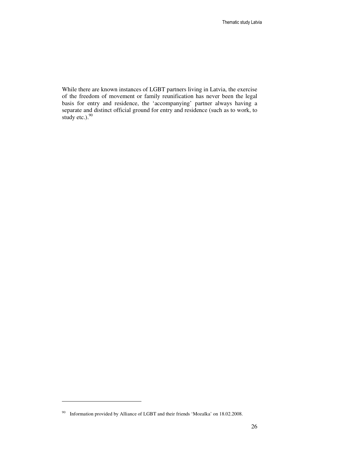While there are known instances of LGBT partners living in Latvia, the exercise of the freedom of movement or family reunification has never been the legal basis for entry and residence, the 'accompanying' partner always having a separate and distinct official ground for entry and residence (such as to work, to study etc.). $90$ 

<sup>90</sup> Information provided by Alliance of LGBT and their friends 'Mozaīka' on 18.02.2008.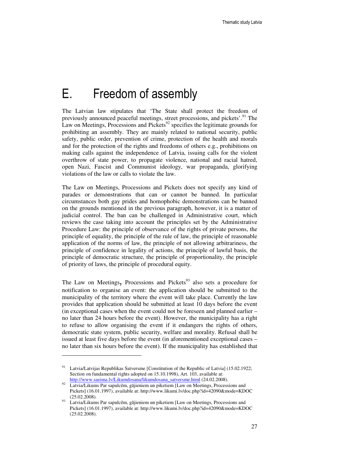# E. Freedom of assembly

The Latvian law stipulates that 'The State shall protect the freedom of previously announced peaceful meetings, street processions, and pickets'.<sup>91</sup> The Law on Meetings, Processions and Pickets<sup>92</sup> specifies the legitimate grounds for prohibiting an assembly. They are mainly related to national security, public safety, public order, prevention of crime, protection of the health and morals and for the protection of the rights and freedoms of others e.g., prohibitions on making calls against the independence of Latvia, issuing calls for the violent overthrow of state power, to propagate violence, national and racial hatred, open Nazi, Fascist and Communist ideology, war propaganda, glorifying violations of the law or calls to violate the law.

The Law on Meetings, Processions and Pickets does not specify any kind of parades or demonstrations that can or cannot be banned. In particular circumstances both gay prides and homophobic demonstrations can be banned on the grounds mentioned in the previous paragraph, however, it is a matter of judicial control. The ban can be challenged in Administrative court, which reviews the case taking into account the principles set by the Administrative Procedure Law: the principle of observance of the rights of private persons, the principle of equality, the principle of the rule of law, the principle of reasonable application of the norms of law, the principle of not allowing arbitrariness, the principle of confidence in legality of actions, the principle of lawful basis, the principle of democratic structure, the principle of proportionality, the principle of priority of laws, the principle of procedural equity.

The Law on Meetings, Processions and Pickets<sup>93</sup> also sets a procedure for notification to organise an event: the application should be submitted to the municipality of the territory where the event will take place. Currently the law provides that application should be submitted at least 10 days before the event (in exceptional cases when the event could not be foreseen and planned earlier – no later than 24 hours before the event). However, the municipality has a right to refuse to allow organising the event if it endangers the rights of others, democratic state system, public security, welfare and morality. Refusal shall be issued at least five days before the event (in aforementioned exceptional cases – no later than six hours before the event). If the municipality has established that

Latvia/Latvijas Republikas Satversme [Constitution of the Republic of Latvia] (15.02.1922; Section on fundamental rights adopted on 15.10.1998), Art. 103, available at: http://www.saeima.lv/Likumdosana/likumdosana\_satversme.html (24.02.2008).

<sup>92</sup> Latvia/Likums Par sapulcēm, gājieniem un piketiem [Law on Meetings, Processions and Pickets] (16.01.1997), available at: http://www.likumi.lv/doc.php?id=42090&mode=KDOC (25.02.2008).

Latvia/Likums Par sapulcēm, gājieniem un piketiem [Law on Meetings, Processions and Pickets] (16.01.1997), available at: http://www.likumi.lv/doc.php?id=42090&mode=KDOC (25.02.2008).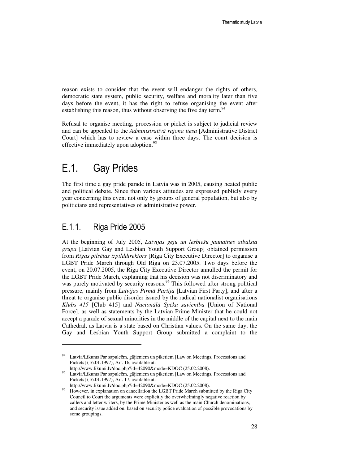reason exists to consider that the event will endanger the rights of others, democratic state system, public security, welfare and morality later than five days before the event, it has the right to refuse organising the event after establishing this reason, thus without observing the five day term.<sup>94</sup>

Refusal to organise meeting, procession or picket is subject to judicial review and can be appealed to the *Administrat*ī*v*ā *rajona tiesa* [Administrative District Court] which has to review a case within three days. The court decision is effective immediately upon adoption.<sup>95</sup>

## E.1. Gay Prides

The first time a gay pride parade in Latvia was in 2005, causing heated public and political debate. Since than various attitudes are expressed publicly every year concerning this event not only by groups of general population, but also by politicians and representatives of administrative power.

### E.1.1. Riga Pride 2005

l

At the beginning of July 2005, *Latvijas geju un lesbiešu jaunatnes atbalsta grupa* [Latvian Gay and Lesbian Youth Support Group] obtained permission from *R*ī*gas pils*ē*tas izpilddirektors* [Riga City Executive Director] to organise a LGBT Pride March through Old Riga on 23.07.2005. Two days before the event, on 20.07.2005, the Riga City Executive Director annulled the permit for the LGBT Pride March, explaining that his decision was not discriminatory and was purely motivated by security reasons.<sup>96</sup> This followed after strong political pressure, mainly from *Latvijas Pirm*ā *Partija* [Latvian First Party], and after a threat to organise public disorder issued by the radical nationalist organisations *Klubs 415* [Club 415] and *Nacion*ā*l*ā *Sp*ē*ka savien*ī*ba* [Union of National Force], as well as statements by the Latvian Prime Minister that he could not accept a parade of sexual minorities in the middle of the capital next to the main Cathedral, as Latvia is a state based on Christian values. On the same day, the Gay and Lesbian Youth Support Group submitted a complaint to the

<sup>&</sup>lt;sup>94</sup> Latvia/Likums Par sapulcēm, gājieniem un piketiem [Law on Meetings, Processions and Pickets] (16.01.1997), Art. 16, available at:

http://www.likumi.lv/doc.php?id=42090&mode=KDOC (25.02.2008). 95 Latvia/Likums Par sapulcēm, gājieniem un piketiem [Law on Meetings, Processions and Pickets] (16.01.1997), Art. 17, available at:

http://www.likumi.lv/doc.php?id=42090&mode=KDOC (25.02.2008).

<sup>&</sup>lt;sup>96</sup> However, in explanation on cancellation the LGBT Pride March submitted by the Riga City Council to Court the arguments were explicitly the overwhelmingly negative reaction by callers and letter writers, by the Prime Minister as well as the main Church denominations, and security issue added on, based on security police evaluation of possible provocations by some groupings.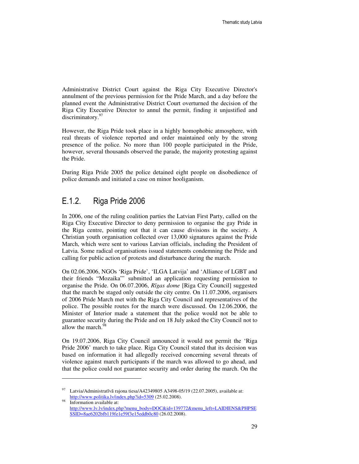Administrative District Court against the Riga City Executive Director's annulment of the previous permission for the Pride March, and a day before the planned event the Administrative District Court overturned the decision of the Riga City Executive Director to annul the permit, finding it unjustified and discriminatory.<sup>97</sup>

However, the Riga Pride took place in a highly homophobic atmosphere, with real threats of violence reported and order maintained only by the strong presence of the police. No more than 100 people participated in the Pride, however, several thousands observed the parade, the majority protesting against the Pride.

During Riga Pride 2005 the police detained eight people on disobedience of police demands and initiated a case on minor hooliganism.

### E.1.2. Riga Pride 2006

 $\overline{a}$ 

In 2006, one of the ruling coalition parties the Latvian First Party, called on the Riga City Executive Director to deny permission to organise the gay Pride in the Riga centre, pointing out that it can cause divisions in the society. A Christian youth organisation collected over 13,000 signatures against the Pride March, which were sent to various Latvian officials, including the President of Latvia. Some radical organisations issued statements condemning the Pride and calling for public action of protests and disturbance during the march.

On 02.06.2006, NGOs 'Riga Pride', 'ILGA Latvija' and 'Alliance of LGBT and their friends "Mozaika"' submitted an application requesting permission to organise the Pride. On 06.07.2006, *R*ī*gas dome* [Riga City Council] suggested that the march be staged only outside the city centre. On 11.07.2006, organisers of 2006 Pride March met with the Riga City Council and representatives of the police. The possible routes for the march were discussed. On 12.06.2006, the Minister of Interior made a statement that the police would not be able to guarantee security during the Pride and on 18 July asked the City Council not to allow the march.<sup>98</sup>

On 19.07.2006, Riga City Council announced it would not permit the 'Riga Pride 2006' march to take place. Riga City Council stated that its decision was based on information it had allegedly received concerning several threats of violence against march participants if the march was allowed to go ahead, and that the police could not guarantee security and order during the march. On the

<sup>97</sup> Latvia/Administratīvā rajona tiesa/A42349805 A3498-05/19 (22.07.2005), available at: http://www.politika.lv/index.php?id=5309 (25.02.2008).

Information available at: http://www.lv.lv/index.php?menu\_body=DOC&id=139772&menu\_left=LAIDIENS&PHPSE SSID=8ae6202bfb119fe1e59f3e15eddb0c80 (26.02.2008).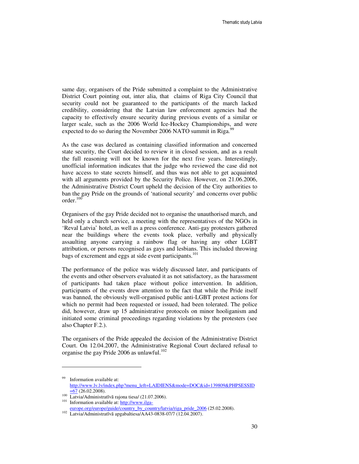same day, organisers of the Pride submitted a complaint to the Administrative District Court pointing out, inter alia, that claims of Riga City Council that security could not be guaranteed to the participants of the march lacked credibility, considering that the Latvian law enforcement agencies had the capacity to effectively ensure security during previous events of a similar or larger scale, such as the 2006 World Ice-Hockey Championships, and were expected to do so during the November 2006 NATO summit in Riga.<sup>9</sup>

As the case was declared as containing classified information and concerned state security, the Court decided to review it in closed session, and as a result the full reasoning will not be known for the next five years. Interestingly, unofficial information indicates that the judge who reviewed the case did not have access to state secrets himself, and thus was not able to get acquainted with all arguments provided by the Security Police. However, on 21.06.2006, the Administrative District Court upheld the decision of the City authorities to ban the gay Pride on the grounds of 'national security' and concerns over public  $order.<sup>100</sup>$ 

Organisers of the gay Pride decided not to organise the unauthorised march, and held only a church service, a meeting with the representatives of the NGOs in 'Reval Latvia' hotel, as well as a press conference. Anti-gay protesters gathered near the buildings where the events took place, verbally and physically assaulting anyone carrying a rainbow flag or having any other LGBT attribution, or persons recognised as gays and lesbians. This included throwing bags of excrement and eggs at side event participants.<sup>101</sup>

The performance of the police was widely discussed later, and participants of the events and other observers evaluated it as not satisfactory, as the harassment of participants had taken place without police intervention. In addition, participants of the events drew attention to the fact that while the Pride itself was banned, the obviously well-organised public anti-LGBT protest actions for which no permit had been requested or issued, had been tolerated. The police did, however, draw up 15 administrative protocols on minor hooliganism and initiated some criminal proceedings regarding violations by the protesters (see also Chapter F.2.).

The organisers of the Pride appealed the decision of the Administrative District Court. On 12.04.2007, the Administrative Regional Court declared refusal to organise the gay Pride 2006 as unlawful.<sup>102</sup>

Information available at: http://www.lv.lv/index.php?menu\_left=LAIDIENS&mode=DOC&id=139809&PHPSESSID  $\equiv 67$  (26.02.2008).

<sup>100</sup> Latvia/Administratīvā rajona tiesa/ (21.07.2006).

<sup>&</sup>lt;sup>101</sup> Information available at: http://www.ilga-

europe.org/europe/guide/country\_by\_country/latvia/riga\_pride\_2006 (25.02.2008).

<sup>102</sup> Latvia/Administratīvā apgabaltiesa/AA43-0838-07/7 (12.04.2007).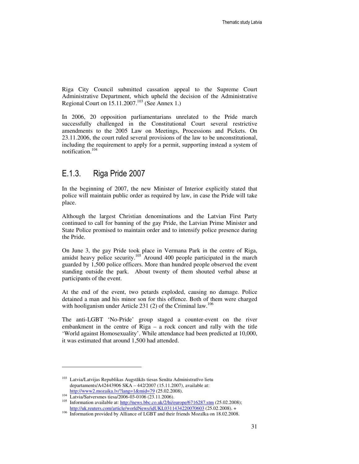Riga City Council submitted cassation appeal to the Supreme Court Administrative Department, which upheld the decision of the Administrative Regional Court on  $15.11.2007$ .<sup>103</sup> (See Annex 1.)

In 2006, 20 opposition parliamentarians unrelated to the Pride march successfully challenged in the Constitutional Court several restrictive amendments to the 2005 Law on Meetings, Processions and Pickets. On 23.11.2006, the court ruled several provisions of the law to be unconstitutional, including the requirement to apply for a permit, supporting instead a system of notification.<sup>104</sup>

#### E.1.3. Riga Pride 2007

In the beginning of 2007, the new Minister of Interior explicitly stated that police will maintain public order as required by law, in case the Pride will take place.

Although the largest Christian denominations and the Latvian First Party continued to call for banning of the gay Pride, the Latvian Prime Minister and State Police promised to maintain order and to intensify police presence during the Pride.

On June 3, the gay Pride took place in Vermana Park in the centre of Riga, amidst heavy police security.<sup>105</sup> Around 400 people participated in the march guarded by 1,500 police officers. More than hundred people observed the event standing outside the park. About twenty of them shouted verbal abuse at participants of the event.

At the end of the event, two petards exploded, causing no damage. Police detained a man and his minor son for this offence. Both of them were charged with hooliganism under Article 231 (2) of the Criminal law.<sup>106</sup>

The anti-LGBT 'No-Pride' group staged a counter-event on the river embankment in the centre of Riga – a rock concert and rally with the title 'World against Homosexuality'. While attendance had been predicted at 10,000, it was estimated that around 1,500 had attended.

<sup>103</sup> Latvia/Latvijas Republikas Augstākās tiesas Senāta Administratīvo lietu departaments/A42443906 SKA – 442/2007 (15.11.2007), available at: http://www2.mozaika.lv/?lang=1&mid=79 (25.02.2008).

<sup>&</sup>lt;sup>104</sup> Latvia/Satversmes tiesa/2006-03-0106 (23.11.2006).

<sup>&</sup>lt;sup>105</sup> Information available at: http://news.bbc.co.uk/2/hi/europe/6716287.stm (25.02.2008); http://uk.reuters.com/article/worldNews/idUKL0311434220070603 (25.02.2008). +

<sup>106</sup> Information provided by Alliance of LGBT and their friends Mozaīka on 18.02.2008.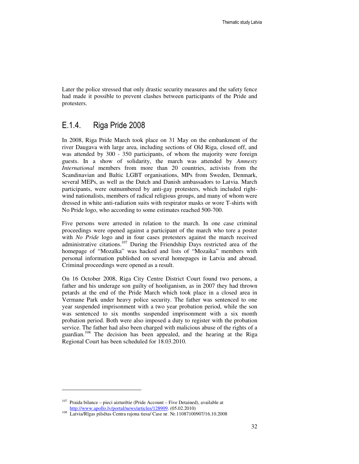Later the police stressed that only drastic security measures and the safety fence had made it possible to prevent clashes between participants of the Pride and protesters.

### E.1.4. Riga Pride 2008

In 2008, Riga Pride March took place on 31 May on the embankment of the river Daugava with large area, including sections of Old Riga, closed off, and was attended by 300 - 350 participants, of whom the majority were foreign guests. In a show of solidarity, the march was attended by *Amnesty International* members from more than 20 countries, activists from the Scandinavian and Baltic LGBT organisations, MPs from Sweden, Denmark, several MEPs, as well as the Dutch and Danish ambassadors to Latvia. March participants, were outnumbered by anti-gay protesters, which included rightwind nationalists, members of radical religious groups, and many of whom were dressed in white anti-radiation suits with respirator masks or wore T-shirts with No Pride logo, who according to some estimates reached 500-700.

Five persons were arrested in relation to the march. In one case criminal proceedings were opened against a participant of the march who tore a poster with *No Pride* logo and in four cases protesters against the march received administrative citations.<sup>107</sup> During the Friendship Days restricted area of the homepage of "Mozaīka" was hacked and lists of "Mozaika" members with personal information published on several homepages in Latvia and abroad. Criminal proceedings were opened as a result.

On 16 October 2008, Riga City Centre District Court found two persons, a father and his underage son guilty of hooliganism, as in 2007 they had thrown petards at the end of the Pride March which took place in a closed area in Vermane Park under heavy police security. The father was sentenced to one year suspended imprisonment with a two year probation period, while the son was sentenced to six months suspended imprisonment with a six month probation period. Both were also imposed a duty to register with the probation service. The father had also been charged with malicious abuse of the rights of a guardian.<sup>108</sup> The decision has been appealed, and the hearing at the Riga Regional Court has been scheduled for 18.03.2010.

<sup>107</sup> Praida bilance – pieci aizturētie (Pride Account – Five Detained), available at http://www.apollo.lv/portal/news/articles/128909. (05.02.2010)

<sup>108</sup> Latvia/Rīgas pilsētas Centra rajona tiesa/ Case nr. Nr.11087100907/16.10.2008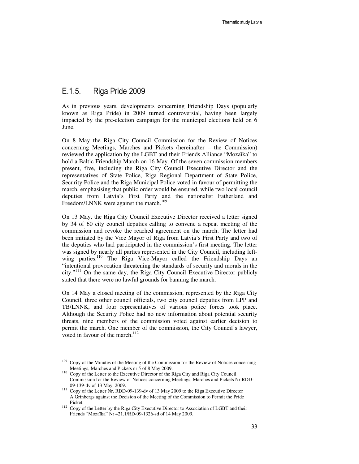#### E.1.5. Riga Pride 2009

l

As in previous years, developments concerning Friendship Days (popularly known as Riga Pride) in 2009 turned controversial, having been largely impacted by the pre-election campaign for the municipal elections held on 6 June.

On 8 May the Riga City Council Commission for the Review of Notices concerning Meetings, Marches and Pickets (hereinafter – the Commission) reviewed the application by the LGBT and their Friends Alliance "Mozaīka" to hold a Baltic Friendship March on 16 May. Of the seven commission members present, five, including the Riga City Council Executive Director and the representatives of State Police, Riga Regional Department of State Police, Security Police and the Riga Municipal Police voted in favour of permitting the march, emphasising that public order would be ensured, while two local council deputies from Latvia's First Party and the nationalist Fatherland and Freedom/LNNK were against the march.<sup>109</sup>

On 13 May, the Riga City Council Executive Director received a letter signed by 34 of 60 city council deputies calling to convene a repeat meeting of the commission and revoke the reached agreement on the march. The letter had been initiated by the Vice Mayor of Riga from Latvia's First Party and two of the deputies who had participated in the commission's first meeting. The letter was signed by nearly all parties represented in the City Council, including leftwing parties.<sup>110</sup> The Riga Vice-Mayor called the Friendship Days an "intentional provocation threatening the standards of security and morals in the city."<sup>111</sup> On the same day, the Riga City Council Executive Director publicly stated that there were no lawful grounds for banning the march.

On 14 May a closed meeting of the commission, represented by the Riga City Council, three other council officials, two city council deputies from LPP and TB/LNNK, and four representatives of various police forces took place. Although the Security Police had no new information about potential security threats, nine members of the commission voted against earlier decision to permit the march. One member of the commission, the City Council's lawyer, voted in favour of the march. $112$ 

<sup>&</sup>lt;sup>109</sup> Copy of the Minutes of the Meeting of the Commission for the Review of Notices concerning Meetings, Marches and Pickets nr 5 of 8 May 2009.

<sup>&</sup>lt;sup>110</sup> Copy of the Letter to the Executive Director of the Riga City and Riga City Council Commission for the Review of Notices concerning Meetings, Marches and Pickets Nr.RDD-09-139-dv of 13 May, 2009.

<sup>111</sup> Copy of the Letter Nr. RDD-09-139-dv of 13 May 2009 to the Riga Executive Director A.Grinbergs against the Decision of the Meeting of the Commission to Permit the Pride Picket.

<sup>&</sup>lt;sup>112</sup> Copy of the Letter by the Riga City Executive Director to Association of LGBT and their Friends "Mozaīka" Nr 421.1/RD-09-1326-sd of 14 May 2009.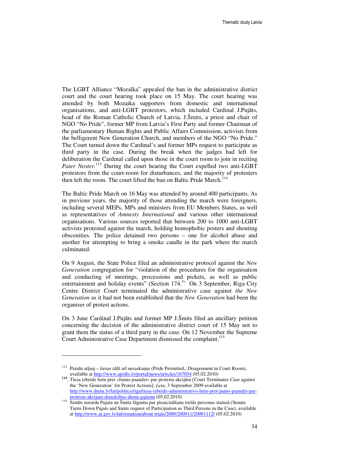The LGBT Alliance "Mozaīka" appealed the ban in the administrative district court and the court hearing took place on 15 May. The court hearing was attended by both Mozaika supporters from domestic and international organisations, and anti-LGBT protestors, which included Cardinal J.Pujāts, head of the Roman Catholic Church of Latvia, J.Šmits, a priest and chair of NGO "No Pride", former MP from Latvia's First Party and former Chairman of the parliamentary Human Rights and Public Affairs Commission, activists from the belligerent New Generation Church, and members of the NGO "No Pride." The Court turned down the Cardinal's and former MPs request to participate as third party in the case. During the break when the judges had left for deliberation the Cardinal called upon those in the court room to join in reciting Pater Noster.<sup>113</sup> During the court hearing the Court expelled two anti-LGBT protestors from the court-room for disturbances, and the majority of protesters then left the room. The court lifted the ban on Baltic Pride March.<sup>114</sup>

The Baltic Pride March on 16 May was attended by around 400 participants. As in previous years, the majority of those attending the march were foreigners, including several MEPs, MPs and ministers from EU Members States, as well as representatives of *Amnesty International* and various other international organisations. Various sources reported that between 200 to 1000 anti-LGBT activists protested against the march, holding homophobic posters and shouting obscenities. The police detained two persons – one for alcohol abuse and another for attempting to bring a smoke candle in the park where the march culminated.

On 9 August, the State Police filed an administrative protocol against the *New Generation* congregation for "violation of the procedures for the organisation and conducting of meetings, processions and pickets, as well as public entertainment and holiday events" (Section 174.<sup>3).</sup> On 3 September, Riga City Centre District Court terminated the administrative case against *the New Generation* as it had not been established that the *New Generation* had been the organiser of protest actions.

On 3 June Cardinal J.Pujāts and former MP J.Šmits filed an ancillary petition concerning the decision of the administrative district court of 15 May not to grant them the status of a third party in the case. On 12 November the Supreme Court Administrative Case Department dismissed the complaint.<sup>115</sup>

<sup>113</sup> Praidu atļauj – tiesas zālē arī nesaskaņas (Pride Permitted,, Disagrement in Court Room), available at http://www.apollo.lv/portal/news/articles/167054 (05.02.2010)

**<sup>114</sup>**, Tiesa izbeidz lietu pret «Jauno paaudzi» par protesta akcijām [Court Terminates Case against the 'New Generation' for Protest Actions], *Leta*, 3 September 2009 available at http://www.diena.lv/lat/politics/riga/tiesa-izbeidz-administrativo-lietu-pret-jauno-paaudzi-parprotesta-akcijam-draudzibas-dienu-gajienu (05.02.2010)

<sup>115</sup> Senāts noraida Pujata un Šmita lūgumu par pieaicināšanu trešās personas statusā (Senate Turns Down Pujats and Smits request of Participation as Third Persons in the Case), available at http://www.at.gov.lv/information/about-trials/2009/200911/20091112/ (05.02.2010)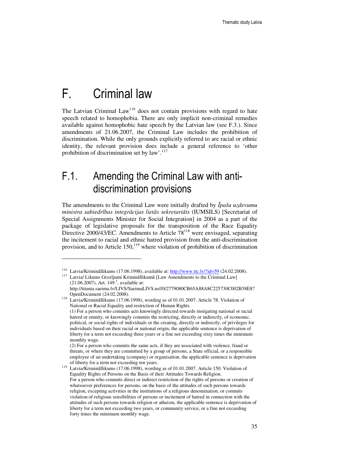## F. Criminal law

l

The Latvian Criminal Law<sup>116</sup> does not contain provisions with regard to hate speech related to homophobia. There are only implicit non-criminal remedies available against homophobic hate speech by the Latvian law (see F.3.). Since amendments of 21.06.2007, the Criminal Law includes the prohibition of discrimination. While the only grounds explicitly referred to are racial or ethnic identity, the relevant provision does include a general reference to 'other prohibition of discrimination set by  $law'$ .<sup>117</sup>

## F.1. Amending the Criminal Law with antidiscrimination provisions

The amendments to the Criminal Law were initially drafted by Ī*pašu uzdevumu ministra sabiedr*ī*bas integr*ā*cijas liet*ā*s sekretari*ā*ts* (IUMSILS) [Secretariat of Special Assignments Minister for Social Integration] in 2004 as a part of the package of legislative proposals for the transposition of the Race Equality Directive 2000/43/EC. Amendments to Article  $78^{118}$  were envisaged, separating the incitement to racial and ethnic hatred provision from the anti-discrimination provision, and to Article  $150$ ,<sup>119</sup> where violation of prohibition of discrimination

<sup>&</sup>lt;sup>116</sup> Latvia/Krimināllikums (17.06.1998), available at: http://www.ttc.lv/?id=59 (24.02.2008).

<sup>&</sup>lt;sup>117</sup> Latvia/ Likums Grozījumi Krimināllikumā [Law Amendments to the Criminal Law]  $(21.06.2007)$ , Art. 149.<sup>1</sup>, available at:

http://titania.saeima.lv/LIVS/SaeimaLIVS.nsf/0/2779080CB65A88A8C225730C002B58E8? OpenDocument (24.02.2008).

<sup>118</sup> Latvia/Krimināllikums (17.06.1998), wording as of 01.01.2007. Article 78. Violation of National or Racial Equality and restriction of Human Rights. (1) For a person who commits acts knowingly directed towards instigating national or racial hatred or enmity, or knowingly commits the restricting, directly or indirectly, of economic, political, or social rights of individuals or the creating, directly or indirectly, of privileges for individuals based on their racial or national origin, the applicable sentence is deprivation of liberty for a term not exceeding three years or a fine not exceeding sixty times the minimum monthly wage.

 <sup>(2)</sup> For a person who commits the same acts, if they are associated with violence, fraud or threats, or where they are committed by a group of persons, a State official, or a responsible employee of an undertaking (company) or organisation, the applicable sentence is deprivation of liberty for a term not exceeding ten years.

Latvia/Krimināllikums (17.06.1998), wording as of 01.01.2007. Article 150. Violation of Equality Rights of Persons on the Basis of their Attitudes Towards Religion. For a person who commits direct or indirect restriction of the rights of persons or creation of whatsoever preferences for persons, on the basis of the attitudes of such persons towards religion, excepting activities in the institutions of a religious denomination, or commits violation of religious sensibilities of persons or incitement of hatred in connection with the attitudes of such persons towards religion or atheism, the applicable sentence is deprivation of liberty for a term not exceeding two years, or community service, or a fine not exceeding forty times the minimum monthly wage.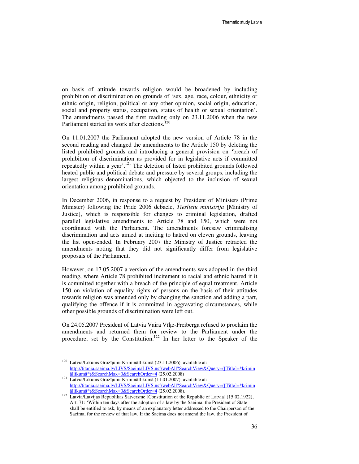on basis of attitude towards religion would be broadened by including prohibition of discrimination on grounds of 'sex, age, race, colour, ethnicity or ethnic origin, religion, political or any other opinion, social origin, education, social and property status, occupation, status of health or sexual orientation'. The amendments passed the first reading only on 23.11.2006 when the new Parliament started its work after elections.<sup>120</sup>

On 11.01.2007 the Parliament adopted the new version of Article 78 in the second reading and changed the amendments to the Article 150 by deleting the listed prohibited grounds and introducing a general provision on 'breach of prohibition of discrimination as provided for in legislative acts if committed repeatedly within a year'.<sup>121</sup> The deletion of listed prohibited grounds followed heated public and political debate and pressure by several groups, including the largest religious denominations, which objected to the inclusion of sexual orientation among prohibited grounds.

In December 2006, in response to a request by President of Ministers (Prime Minister) following the Pride 2006 debacle, *Tieslietu ministrija* [Ministry of Justice], which is responsible for changes to criminal legislation, drafted parallel legislative amendments to Article 78 and 150, which were not coordinated with the Parliament. The amendments foresaw criminalising discrimination and acts aimed at inciting to hatred on eleven grounds, leaving the list open-ended. In February 2007 the Ministry of Justice retracted the amendments noting that they did not significantly differ from legislative proposals of the Parliament.

However, on 17.05.2007 a version of the amendments was adopted in the third reading, where Article 78 prohibited incitement to racial and ethnic hatred if it is committed together with a breach of the principle of equal treatment. Article 150 on violation of equality rights of persons on the basis of their attitudes towards religion was amended only by changing the sanction and adding a part, qualifying the offence if it is committed in aggravating circumstances, while other possible grounds of discrimination were left out.

On 24.05.2007 President of Latvia Vaira Vīķe-Freiberga refused to proclaim the amendments and returned them for review to the Parliament under the procedure, set by the Constitution.<sup>122</sup> In her letter to the Speaker of the

<sup>120</sup> Latvia/Likums Grozījumi Krimināllikumā (23.11.2006), available at: http://titania.saeima.lv/LIVS/SaeimaLIVS.nsf/webAll?SearchView&Query=([Title]=\*krimin âllikumâ\*)&SearchMax=0&SearchOrder=4 (25.02.2008)

<sup>121</sup> Latvia/Likums Grozījumi Krimināllikumā (11.01.2007), available at: http://titania.saeima.lv/LIVS/SaeimaLIVS.nsf/webAll?SearchView&Query=([Title]=\*krimin âllikumâ\*)&SearchMax=0&SearchOrder=4 (25.02.2008).

<sup>122</sup> Latvia/Latvijas Republikas Satversme [Constitution of the Republic of Latvia] (15.02.1922), Art. 71: 'Within ten days after the adoption of a law by the Saeima, the President of State shall be entitled to ask, by means of an explanatory letter addressed to the Chairperson of the Saeima, for the review of that law. If the Saeima does not amend the law, the President of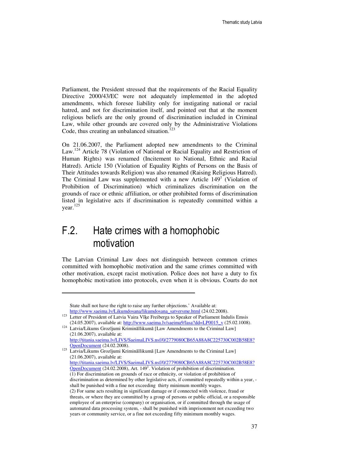Parliament, the President stressed that the requirements of the Racial Equality Directive 2000/43/EC were not adequately implemented in the adopted amendments, which foresee liability only for instigating national or racial hatred, and not for discrimination itself, and pointed out that at the moment religious beliefs are the only ground of discrimination included in Criminal Law, while other grounds are covered only by the Administrative Violations Code, thus creating an unbalanced situation. $123$ 

On 21.06.2007, the Parliament adopted new amendments to the Criminal Law.<sup>124</sup> Article 78 (Violation of National or Racial Equality and Restriction of Human Rights) was renamed (Incitement to National, Ethnic and Racial Hatred). Article 150 (Violation of Equality Rights of Persons on the Basis of Their Attitudes towards Religion) was also renamed (Raising Religious Hatred). The Criminal Law was supplemented with a new Article 149<sup>1</sup> (Violation of Prohibition of Discrimination) which criminalizes discrimination on the grounds of race or ethnic affiliation, or other prohibited forms of discrimination listed in legislative acts if discrimination is repeatedly committed within a year. 125

### F.2. Hate crimes with a homophobic motivation

 $\overline{a}$ 

The Latvian Criminal Law does not distinguish between common crimes committed with homophobic motivation and the same crimes committed with other motivation, except racist motivation. Police does not have a duty to fix homophobic motivation into protocols, even when it is obvious. Courts do not

State shall not have the right to raise any further objections.' Available at: http://www.saeima.lv/Likumdosana/likumdosana\_satversme.html (24.02.2008).

<sup>123</sup> Letter of President of Latvia Vaira Vīķe Freiberga to Speaker of Parliament Indulis Emsis (24.05.2007), available at: http://www.saeima.lv/saeima9/lasa?dd=LP0015\_v (25.02.1008).

<sup>&</sup>lt;sup>124</sup> Latvia/Likums Grozījumi Krimināllikumā [Law Amendments to the Criminal Law] (21.06.2007), available at: http://titania.saeima.lv/LIVS/SaeimaLIVS.nsf/0/2779080CB65A88A8C225730C002B58E8?

OpenDocument (24.02.2008). <sup>125</sup> Latvia/Likums Grozījumi Krimināllikumā [Law Amendments to the Criminal Law] (21.06.2007), available at: http://titania.saeima.lv/LIVS/SaeimaLIVS.nsf/0/2779080CB65A88A8C225730C002B58E8? OpenDocument (24.02.2008), Art. 149<sup>1</sup>. Violation of prohibition of discrimination. (1) For discrimination on grounds of race or ethnicity, or violation of prohibition of discrimination as determined by other legislative acts, if committed repeatedly within a year, shall be punished with a fine not exceeding thirty minimum monthly wages. (2) For same acts resulting in significant damage or if connected with violence, fraud or threats, or where they are committed by a group of persons or public official, or a responsible employee of an enterprise (company) or organisation, or if committed through the usage of automated data processing system, - shall be punished with imprisonment not exceeding two years or community service, or a fine not exceeding fifty minimum monthly wages.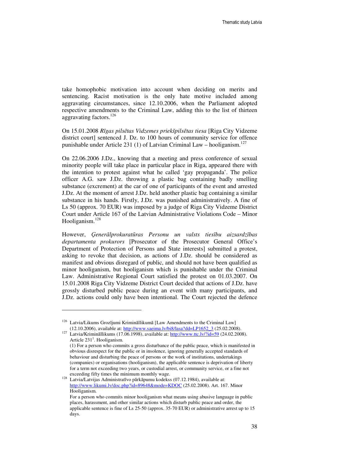take homophobic motivation into account when deciding on merits and sentencing. Racist motivation is the only hate motive included among aggravating circumstances, since 12.10.2006, when the Parliament adopted respective amendments to the Criminal Law, adding this to the list of thirteen aggravating factors.<sup>126</sup>

On 15.01.2008 *R*ī*gas pils*ē*tas Vidzemes priekšpils*ē*tas tiesa* [Riga City Vidzeme district court] sentenced J. Dz. to 100 hours of community service for offence punishable under Article 231 (1) of Latvian Criminal Law – hooliganism.<sup>127</sup>

On 22.06.2006 J.Dz., knowing that a meeting and press conference of sexual minority people will take place in particular place in Riga, appeared there with the intention to protest against what he called 'gay propaganda'. The police officer A.G. saw J.Dz. throwing a plastic bag containing badly smelling substance (excrement) at the car of one of participants of the event and arrested J.Dz. At the moment of arrest J.Dz. held another plastic bag containing a similar substance in his hands. Firstly, J.Dz. was punished administratively. A fine of Ls 50 (approx. 70 EUR) was imposed by a judge of Riga City Vidzeme District Court under Article 167 of the Latvian Administrative Violations Code – Minor Hooliganism.<sup>128</sup>

However, Ģ*ener*ā*lprokurat*ū*ras Personu un valsts ties*ī*bu aizsardz*ī*bas departamenta prokurors* [Prosecutor of the Prosecutor General Office's Department of Protection of Persons and State interests] submitted a protest, asking to revoke that decision, as actions of J.Dz. should be considered as manifest and obvious disregard of public, and should not have been qualified as minor hooliganism, but hooliganism which is punishable under the Criminal Law. Administrative Regional Court satisfied the protest on 01.03.2007. On 15.01.2008 Riga City Vidzeme District Court decided that actions of J.Dz. have grossly disturbed public peace during an event with many participants, and J.Dz. actions could only have been intentional. The Court rejected the defence

<sup>126</sup> Latvia/Likums Grozījumi Krimināllikumā [Law Amendments to the Criminal Law] (12.10.2006), available at: http://www.saeima.lv/bi8/lasa?dd=LP1652\_3 (25.02.2008).

<sup>127</sup> Latvia/Krimināllikums (17.06.1998), available at: http://www.ttc.lv/?id=59 (24.02.2008). Article  $231<sup>1</sup>$ . Hooliganism.

 <sup>(1)</sup> For a person who commits a gross disturbance of the public peace, which is manifested in obvious disrespect for the public or in insolence, ignoring generally accepted standards of behaviour and disturbing the peace of persons or the work of institutions, undertakings (companies) or organisations (hooliganism), the applicable sentence is deprivation of liberty for a term not exceeding two years, or custodial arrest, or community service, or a fine not exceeding fifty times the minimum monthly wage.

<sup>128</sup> Latvia/Latvijas Administratīvo pārkāpumu kodekss (07.12.1984), available at: http://www.likumi.lv/doc.php?id=89648&mode=KDOC (25.02.2008). Art. 167. Minor Hooliganism.

For a person who commits minor hooliganism what means using abusive language in public places, harassment, and other similar actions which disturb public peace and order, the applicable sentence is fine of Ls 25-50 (approx. 35-70 EUR) or administrative arrest up to 15 days.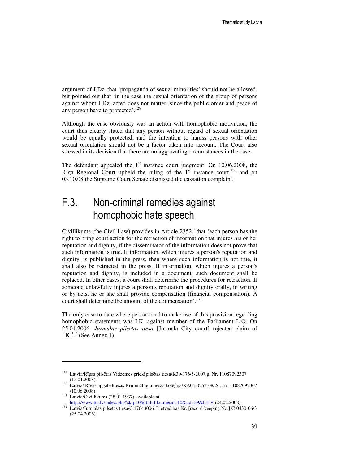argument of J.Dz. that 'propaganda of sexual minorities' should not be allowed, but pointed out that 'in the case the sexual orientation of the group of persons against whom J.Dz. acted does not matter, since the public order and peace of any person have to protected'.<sup>129</sup>

Although the case obviously was an action with homophobic motivation, the court thus clearly stated that any person without regard of sexual orientation would be equally protected, and the intention to harass persons with other sexual orientation should not be a factor taken into account. The Court also stressed in its decision that there are no aggravating circumstances in the case.

The defendant appealed the  $1<sup>st</sup>$  instance court judgment. On 10.06.2008, the Riga Regional Court upheld the ruling of the  $1<sup>st</sup>$  instance court,<sup>130</sup> and on 03.10.08 the Supreme Court Senate dismissed the cassation complaint.

## F.3. Non-criminal remedies against homophobic hate speech

Civillikums (the Civil Law) provides in Article  $2352<sup>1</sup>$  that 'each person has the right to bring court action for the retraction of information that injures his or her reputation and dignity, if the disseminator of the information does not prove that such information is true. If information, which injures a person's reputation and dignity, is published in the press, then where such information is not true, it shall also be retracted in the press. If information, which injures a person's reputation and dignity, is included in a document, such document shall be replaced. In other cases, a court shall determine the procedures for retraction. If someone unlawfully injures a person's reputation and dignity orally, in writing or by acts, he or she shall provide compensation (financial compensation). A court shall determine the amount of the compensation'.<sup>131</sup>

The only case to date where person tried to make use of this provision regarding homophobic statements was I.K. against member of the Parliament L.O. On 25.04.2006. *J*ū*rmalas pils*ē*tas tiesa* [Jurmala City court] rejected claim of I.K. $^{132}$  (See Annex 1).

<sup>129</sup> Latvia/Rīgas pilsētas Vidzemes priekšpilsētas tiesa/K30-176/5-2007.g. Nr. 11087092307 (15.01.2008).

<sup>130</sup> Latvia/ Rīgas apgabaltiesas Krimināllietu tiesas kolēģija**/**KA04-0253-08/26, Nr. 11087092307 /10.06.2008)

<sup>&</sup>lt;sup>131</sup> Latvia/Civillikums (28.01.1937), available at: http://www.ttc.lv/index.php?skip=0&itid=likumi&id=10&tid=59&l=LV (24.02.2008).

<sup>132</sup> Latvia/Jūrmalas pilsētas tiesa/C 17043006, Lietvedības Nr. [record-keeping No.] C-0430-06/3 (25.04.2006).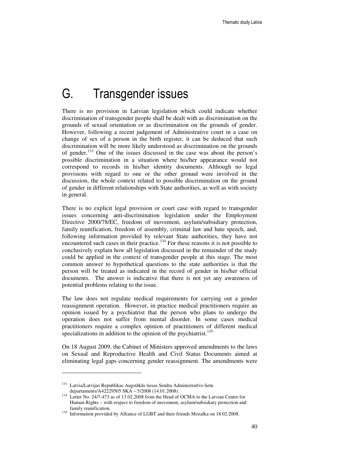## G. Transgender issues

There is no provision in Latvian legislation which could indicate whether discrimination of transgender people shall be dealt with as discrimination on the grounds of sexual orientation or as discrimination on the grounds of gender. However, following a recent judgement of Administrative court in a case on change of sex of a person in the birth register, it can be deduced that such discrimination will be more likely understood as discrimination on the grounds of gender.<sup>133</sup> One of the issues discussed in the case was about the person's possible discrimination in a situation where his/her appearance would not correspond to records in his/her identity documents. Although no legal provisions with regard to one or the other ground were involved in the discussion, the whole context related to possible discrimination on the ground of gender in different relationships with State authorities, as well as with society in general.

There is no explicit legal provision or court case with regard to transgender issues concerning anti-discrimination legislation under the Employment Directive 2000/78/EC, freedom of movement, asylum/subsidiary protection, family reunification, freedom of assembly, criminal law and hate speech, and, following information provided by relevant State authorities, they have not encountered such cases in their practice.<sup>134</sup> For these reasons it is not possible to conclusively explain how all legislation discussed in the remainder of the study could be applied in the context of transgender people at this stage. The most common answer to hypothetical questions to the state authorities is that the person will be treated as indicated in the record of gender in his/her official documents. The answer is indicative that there is not yet any awareness of potential problems relating to the issue.

The law does not regulate medical requirements for carrying out a gender reassignment operation. However, in practice medical practitioners require an opinion issued by a psychiatrist that the person who plans to undergo the operation does not suffer from mental disorder. In some cases medical practitioners require a complex opinion of practitioners of different medical specializations in addition to the opinion of the psychiatrist.<sup>135</sup>

On 18 August 2009, the Cabinet of Ministers approved amendments to the laws on Sexual and Reproductive Health and Civil Status Documents aimed at eliminating legal gaps concerning gender reassignment. The amendments were

<sup>133</sup> Latvia/Latvijas Republikas Augstākās tiesas Senāta Administratīvo lietu departaments/A42229505 SKA – 5/2008 (14.01.2008).

<sup>&</sup>lt;sup>134</sup> Letter No. 24/7-473 as of 13.02.2008 from the Head of OCMA to the Latvian Centre for Human Rights – with respect to freedom of movement, asylum/subsidiary protection and family reunification.

<sup>&</sup>lt;sup>135</sup> Information provided by Alliance of LGBT and their friends Mozaīka on 18.02.2008.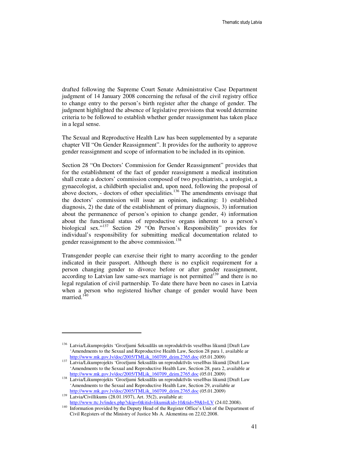drafted following the Supreme Court Senate Administrative Case Department judgment of 14 January 2008 concerning the refusal of the civil registry office to change entry to the person's birth register after the change of gender. The judgment highlighted the absence of legislative provisions that would determine criteria to be followed to establish whether gender reassignment has taken place in a legal sense.

The Sexual and Reproductive Health Law has been supplemented by a separate chapter VII "On Gender Reassignment". It provides for the authority to approve gender reassignment and scope of information to be included in its opinion.

Section 28 "On Doctors' Commission for Gender Reassignment" provides that for the establishment of the fact of gender reassignment a medical institution shall create a doctors' commission composed of two psychiatrists, a urologist, a gynaecologist, a childbirth specialist and, upon need, following the proposal of above doctors, - doctors of other specialities.<sup>136</sup> The amendments envisage that the doctors' commission will issue an opinion, indicating: 1) established diagnosis, 2) the date of the establishment of primary diagnosis, 3) information about the permanence of person's opinion to change gender, 4) information about the functional status of reproductive organs inherent to a person's biological sex."<sup>137</sup> Section 29 "On Person's Responsibility" provides for individual's responsibility for submitting medical documentation related to gender reassignment to the above commission.<sup>138</sup>

Transgender people can exercise their right to marry according to the gender indicated in their passport. Although there is no explicit requirement for a person changing gender to divorce before or after gender reassignment, according to Latvian law same-sex marriage is not permitted<sup>139</sup> and there is no legal regulation of civil partnership. To date there have been no cases in Latvia when a person who registered his/her change of gender would have been married.<sup>140</sup>

<sup>136</sup> Latvia/Likumprojekts 'Grozījumi Seksuālās un reproduktīvās veselības likumā [Draft Law 'Amendments to the Sexual and Reproductive Health Law, Section 28 para 1, available ar http://www.mk.gov.lv/doc/2005/TMLik\_160709\_dzim.2765.doc (05.01.2009)

<sup>137</sup> Latvia/Likumprojekts 'Grozījumi Seksuālās un reproduktīvās veselības likumā [Draft Law 'Amendments to the Sexual and Reproductive Health Law, Section 28, para 2, available ar http://www.mk.gov.lv/doc/2005/TMLik\_160709\_dzim.2765.doc (05.01.2009)

<sup>138</sup> Latvia/Likumprojekts 'Grozījumi Seksuālās un reproduktīvās veselības likumā [Draft Law 'Amendments to the Sexual and Reproductive Health Law, Section 29, available ar http://www.mk.gov.lv/doc/2005/TMLik\_160709\_dzim.2765.doc (05.01.2009)

<sup>&</sup>lt;sup>139</sup> Latvia/Civillikums (28.01.1937), Art. 35(2), available at: http://www.ttc.lv/index.php?skip=0&itid=likumi&id=10&tid=59&l=LV (24.02.2008).

<sup>140</sup> Information provided by the Deputy Head of the Register Office's Unit of the Department of Civil Registers of the Ministry of Justice Ms A. Akmentina on 22.02.2008.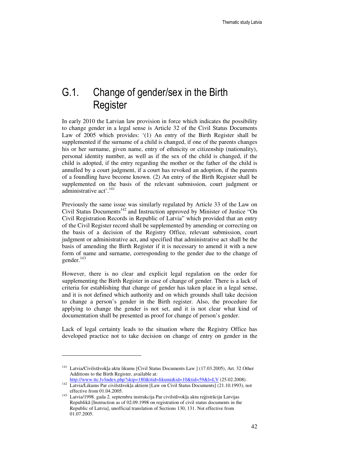## G.1. Change of gender/sex in the Birth Register

In early 2010 the Latvian law provision in force which indicates the possibility to change gender in a legal sense is Article 32 of the Civil Status Documents Law of 2005 which provides: '(1) An entry of the Birth Register shall be supplemented if the surname of a child is changed, if one of the parents changes his or her surname, given name, entry of ethnicity or citizenship (nationality), personal identity number, as well as if the sex of the child is changed, if the child is adopted, if the entry regarding the mother or the father of the child is annulled by a court judgment, if a court has revoked an adoption, if the parents of a foundling have become known. (2) An entry of the Birth Register shall be supplemented on the basis of the relevant submission, court judgment or administrative act'.<sup>141</sup>

Previously the same issue was similarly regulated by Article 33 of the Law on Civil Status Documents<sup>142</sup> and Instruction approved by Minister of Justice "On Civil Registration Records in Republic of Latvia" which provided that an entry of the Civil Register record shall be supplemented by amending or correcting on the basis of a decision of the Registry Office, relevant submission, court judgment or administrative act, and specified that administrative act shall be the basis of amending the Birth Register if it is necessary to amend it with a new form of name and surname, corresponding to the gender due to the change of gender.<sup>143</sup>

However, there is no clear and explicit legal regulation on the order for supplementing the Birth Register in case of change of gender. There is a lack of criteria for establishing that change of gender has taken place in a legal sense, and it is not defined which authority and on which grounds shall take decision to change a person's gender in the Birth register. Also, the procedure for applying to change the gender is not set, and it is not clear what kind of documentation shall be presented as proof for change of person's gender.

Lack of legal certainty leads to the situation where the Registry Office has developed practice not to take decision on change of entry on gender in the

<sup>&</sup>lt;sup>141</sup> Latvia/Civilstāvokļa aktu likums [Civil Status Documents Law ] (17.03.2005), Art. 32 Other Additions to the Birth Register, available at: http://www.ttc.lv/index.php?skip=180&itid=likumi&id=10&tid=59&l=LV (25.02.2008).

<sup>&</sup>lt;sup>142</sup> Latvia/Likums Par civilstāvokļa aktiem [Law on Civil Status Documents] (21.10.1993), not effective from 01.04.2005.

<sup>143</sup> Latvia/1998. gada 2. septembra instrukcija Par civilstāvokļa aktu reģistrāciju Latvijas Republikā [Instruction as of 02.09.1998 on registration of civil status documents in the Republic of Latvia], unofficial translation of Sections 130, 131. Not effective from 01.07.2005.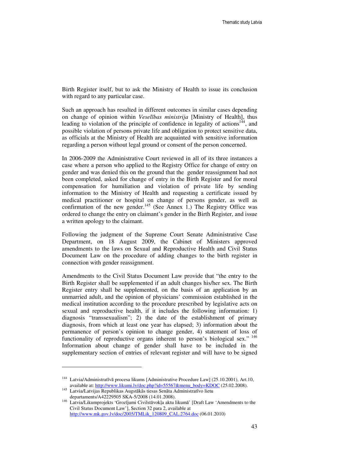Birth Register itself, but to ask the Ministry of Health to issue its conclusion with regard to any particular case.

Such an approach has resulted in different outcomes in similar cases depending on change of opinion within *Vesel*ī*bas ministrija* [Ministry of Health], thus leading to violation of the principle of confidence in legality of actions<sup>144</sup>, and possible violation of persons private life and obligation to protect sensitive data, as officials at the Ministry of Health are acquainted with sensitive information regarding a person without legal ground or consent of the person concerned.

In 2006-2009 the Administrative Court reviewed in all of its three instances a case where a person who applied to the Registry Office for change of entry on gender and was denied this on the ground that the gender reassignment had not been completed, asked for change of entry in the Birth Register and for moral compensation for humiliation and violation of private life by sending information to the Ministry of Health and requesting a certificate issued by medical practitioner or hospital on change of persons gender, as well as confirmation of the new gender.<sup>145</sup> (See Annex 1.) The Registry Office was ordered to change the entry on claimant's gender in the Birth Register, and issue a written apology to the claimant.

Following the judgment of the Supreme Court Senate Administrative Case Department, on 18 August 2009, the Cabinet of Ministers approved amendments to the laws on Sexual and Reproductive Health and Civil Status Document Law on the procedure of adding changes to the birth register in connection with gender reassignment.

Amendments to the Civil Status Document Law provide that "the entry to the Birth Register shall be supplemented if an adult changes his/her sex. The Birth Register entry shall be supplemented, on the basis of an application by an unmarried adult, and the opinion of physicians' commission established in the medical institution according to the procedure prescribed by legislative acts on sexual and reproductive health, if it includes the following information: 1) diagnosis "transsexualism"; 2) the date of the establishment of primary diagnosis, from which at least one year has elapsed; 3) information about the permanence of person's opinion to change gender, 4) statement of loss of functionality of reproductive organs inherent to person's biological sex."<sup>146</sup> Information about change of gender shall have to be included in the supplementary section of entries of relevant register and will have to be signed

<sup>&</sup>lt;sup>144</sup> Latvia/Administratīvā procesa likums [Administrative Procedure Law] (25.10.2001), Art.10, available at: http://www.likumi.lv/doc.php?id=55567&menu\_body=KDOC (25.02.2008).

<sup>145</sup> Latvia/Latvijas Republikas Augstākās tiesas Senāta Administratīvo lietu departaments/A42229505 SKA-5/2008 (14.01.2008).

<sup>146</sup> Latvia/Likumprojekts 'Grozījumi Civilstāvokļa aktu likumā' [Draft Law 'Amendments to the Civil Status Document Law'], Section 32 para 2, available at http://www.mk.gov.lv/doc/2005/TMLik\_120809\_CAL.2764.doc (06.01.2010)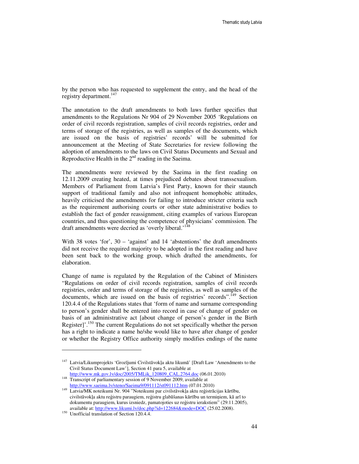by the person who has requested to supplement the entry, and the head of the registry department.<sup>147</sup>

The annotation to the draft amendments to both laws further specifies that amendments to the Regulations Nr 904 of 29 November 2005 'Regulations on order of civil records registration, samples of civil records registries, order and terms of storage of the registries, as well as samples of the documents, which are issued on the basis of registries' records' will be submitted for announcement at the Meeting of State Secretaries for review following the adoption of amendments to the laws on Civil Status Documents and Sexual and Reproductive Health in the  $2<sup>nd</sup>$  reading in the Saeima.

The amendments were reviewed by the Saeima in the first reading on 12.11.2009 creating heated, at times prejudiced debates about transsexualism. Members of Parliament from Latvia's First Party, known for their staunch support of traditional family and also not infrequent homophobic attitudes, heavily criticised the amendments for failing to introduce stricter criteria such as the requirement authorising courts or other state administrative bodies to establish the fact of gender reassignment, citing examples of various European countries, and thus questioning the competence of physicians' commission. The draft amendments were decried as 'overly liberal.'<sup>14</sup>

With 38 votes 'for', 30 – 'against' and 14 'abstentions' the draft amendments did not receive the required majority to be adopted in the first reading and have been sent back to the working group, which drafted the amendments, for elaboration.

Change of name is regulated by the Regulation of the Cabinet of Ministers "Regulations on order of civil records registration, samples of civil records registries, order and terms of storage of the registries, as well as samples of the documents, which are issued on the basis of registries' records".<sup>149</sup> Section 120.4.4 of the Regulations states that 'form of name and surname corresponding to person's gender shall be entered into record in case of change of gender on basis of an administrative act [about change of person's gender in the Birth Register]'.<sup>150</sup> The current Regulations do not set specifically whether the person has a right to indicate a name he/she would like to have after change of gender or whether the Registry Office authority simply modifies endings of the name

<sup>&</sup>lt;sup>147</sup> Latvia/Likumprojekts 'Grozījumi Civilstāvokļa aktu likumā' [Draft Law 'Amendments to the Civil Status Document Law'], Section 41 para 5, available at http://www.mk.gov.lv/doc/2005/TMLik\_120809\_CAL.2764.doc (06.01.2010)

<sup>&</sup>lt;sup>148</sup> Transcript of parliamentary session of 9 November 2009, available at

http://www.saeima.lv/steno/Saeima9/091112/st091112.htm (07.01.2010) <sup>149</sup> Latvia/MK noteikumi Nr. 904 "Noteikumi par civilstāvokļa aktu reģistrācijas kārtību,

civilstāvokļa aktu reģistru paraugiem, reģistru glabāšanas kārtību un termiņiem, kā arī to dokumentu paraugiem, kurus izsniedz, pamatojoties uz reģistru ierakstiem" (29.11.2005), available at: http://www.likumi.lv/doc.php?id=122684&mode=DOC (25.02.2008).

<sup>&</sup>lt;sup>150</sup> Unofficial translation of Section 120.4.4.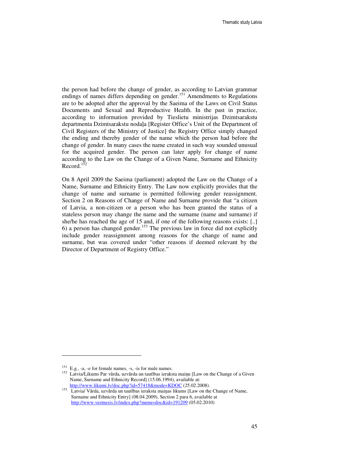the person had before the change of gender, as according to Latvian grammar endings of names differs depending on gender.<sup>151</sup> Amendments to Regulations are to be adopted after the approval by the Saeima of the Laws on Civil Status Documents and Sexual and Reproductive Health. In the past in practice, according to information provided by Tieslietu ministrijas Dzimtsarakstu departmenta Dzimtsarakstu nodaļa [Register Office's Unit of the Department of Civil Registers of the Ministry of Justice] the Registry Office simply changed the ending and thereby gender of the name which the person had before the change of gender. In many cases the name created in such way sounded unusual for the acquired gender. The person can later apply for change of name according to the Law on the Change of a Given Name, Surname and Ethnicity Record.<sup>15</sup>

On 8 April 2009 the Saeima (parliament) adopted the Law on the Change of a Name, Surname and Ethnicity Entry. The Law now explicitly provides that the change of name and surname is permitted following gender reassignment. Section 2 on Reasons of Change of Name and Surname provide that "a citizen of Latvia, a non-citizen or a person who has been granted the status of a stateless person may change the name and the surname (name and surname) if she/he has reached the age of 15 and, if one of the following reasons exists: [..] 6) a person has changed gender.<sup>153</sup> The previous law in force did not explicitly include gender reassignment among reasons for the change of name and surname, but was covered under "other reasons if deemed relevant by the Director of Department of Registry Office."

<sup>151</sup> E.g., -a, -e for female names, -s, -is for male names.

<sup>152</sup> Latvia/Likums Par vārda, uzvārda un tautības ieraksta maiņu [Law on the Change of a Given Name, Surname and Ethnicity Record] (15.06.1994), available at: http://www.likumi.lv/doc.php?id=57418&mode=KDOC (25.02.2008).

<sup>153</sup> Latvia/ Vārda, uzvārda un tautības ieraksta maiņas likums [Law on the Change of Name, Surname and Ethnicity Entry] (08.04.2009), Section 2 para 6, available at http://www.vestnesis.lv/index.php?menu=doc&id=191209 (05.02.2010)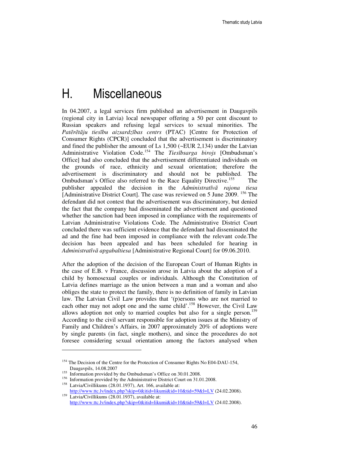## H. Miscellaneous

In 04.2007, a legal services firm published an advertisement in Daugavpils (regional city in Latvia) local newspaper offering a 50 per cent discount to Russian speakers and refusing legal services to sexual minorities. The *Pat*ē*r*ē*t*ā*ju ties*ī*bu aizsardz*ī*bas centrs* (PTAC) [Centre for Protection of Consumer Rights (CPCR)] concluded that the advertisement is discriminatory and fined the publisher the amount of Ls 1,500 (~EUR 2,134) under the Latvian Administrative Violation Code.<sup>154</sup> The *Ties*ī*bsarga birojs* [Ombudsman's Office] had also concluded that the advertisement differentiated individuals on the grounds of race, ethnicity and sexual orientation; therefore the advertisement is discriminatory and should not be published. The Ombudsman's Office also referred to the Race Equality Directive.<sup>155</sup> The publisher appealed the decision in the *Administrat*ī*v*ā *rajona tiesa* [Administrative District Court]. The case was reviewed on 5 June 2009. <sup>156</sup> The defendant did not contest that the advertisement was discriminatory, but denied the fact that the company had disseminated the advertisement and questioned whether the sanction had been imposed in compliance with the requirements of Latvian Administrative Violations Code. The Administrative District Court concluded there was sufficient evidence that the defendant had disseminated the ad and the fine had been imposed in compliance with the relevant code.The decision has been appealed and has been scheduled for hearing in *Administrat*ī*v*ā *apgabaltiesa* [Administrative Regional Court] for 09.06.2010.

After the adoption of the decision of the European Court of Human Rights in the case of E.B. v France, discussion arose in Latvia about the adoption of a child by homosexual couples or individuals. Although the Constitution of Latvia defines marriage as the union between a man and a woman and also obliges the state to protect the family, there is no definition of family in Latvian law. The Latvian Civil Law provides that '(p)ersons who are not married to each other may not adopt one and the same child'.<sup>158</sup> However, the Civil Law allows adoption not only to married couples but also for a single person.<sup>159</sup> According to the civil servant responsible for adoption issues at the Ministry of Family and Children's Affairs, in 2007 approximately 20% of adoptions were by single parents (in fact, single mothers), and since the procedures do not foresee considering sexual orientation among the factors analysed when

<sup>&</sup>lt;sup>154</sup> The Decision of the Centre for the Protection of Consumer Rights No E04-DAU-154, Daugavpils, 14.08.2007

<sup>&</sup>lt;sup>155</sup> Information provided by the Ombudsman's Office on 30.01.2008.

<sup>&</sup>lt;sup>156</sup> Information provided by the Administrative District Court on 31.01.2008.

<sup>158</sup> Latvia/Civillikums (28.01.1937), Art. 166, available at: http://www.ttc.lv/index.php?skip=0&itid=likumi&id=10&tid=59&l=LV (24.02.2008).

<sup>159</sup> Latvia/Civillikums (28.01.1937), available at: http://www.ttc.lv/index.php?skip=0&itid=likumi&id=10&tid=59&l=LV (24.02.2008).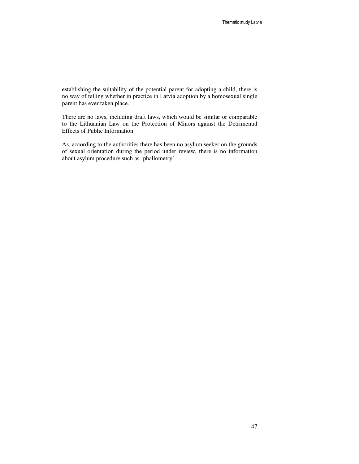establishing the suitability of the potential parent for adopting a child, there is no way of telling whether in practice in Latvia adoption by a homosexual single parent has ever taken place.

There are no laws, including draft laws, which would be similar or comparable to the Lithuanian Law on the Protection of Minors against the Detrimental Effects of Public Information.

As, according to the authorities there has been no asylum seeker on the grounds of sexual orientation during the period under review, there is no information about asylum procedure such as 'phallometry'.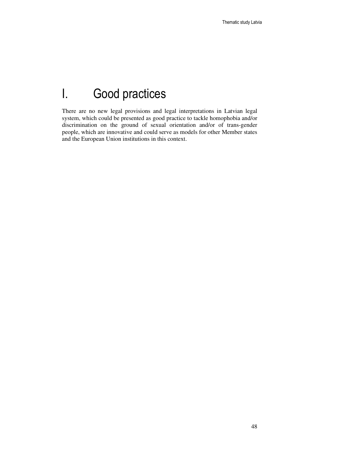# I. Good practices

There are no new legal provisions and legal interpretations in Latvian legal system, which could be presented as good practice to tackle homophobia and/or discrimination on the ground of sexual orientation and/or of trans-gender people, which are innovative and could serve as models for other Member states and the European Union institutions in this context.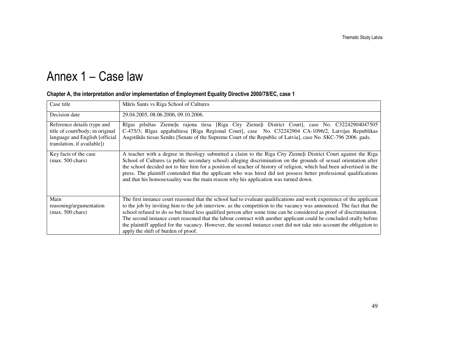# Annex 1 – Case law

| Māris Sants vs Riga School of Cultures                                                                                                                                                                                                                                                                                                                                                                                                                                                                                                                                                                                                                       |
|--------------------------------------------------------------------------------------------------------------------------------------------------------------------------------------------------------------------------------------------------------------------------------------------------------------------------------------------------------------------------------------------------------------------------------------------------------------------------------------------------------------------------------------------------------------------------------------------------------------------------------------------------------------|
| 29.04.2005, 08.06.2006, 09.10.2006.                                                                                                                                                                                                                                                                                                                                                                                                                                                                                                                                                                                                                          |
| Rīgas pilsētas Ziemeļu rajona tiesa [Riga City Ziemeļi District Court], case No. C32242904047505<br>C-475/3; Rīgas apgabaltiesa [Riga Regional Court], case No. C32242904 CA-1096/2, Latvijas Republikas<br>Augstākās tiesas Senāts [Senate of the Supreme Court of the Republic of Latvia], case No. SKC-796 2006. gads.                                                                                                                                                                                                                                                                                                                                    |
| A teacher with a degree in theology submitted a claim to the Riga City Ziemeli District Court against the Riga<br>School of Cultures (a public secondary school) alleging discrimination on the grounds of sexual orientation after<br>the school decided not to hire him for a position of teacher of history of religion, which had been advertised in the<br>press. The plaintiff contended that the applicant who was hired did not possess better professional qualifications<br>and that his homosexuality was the main reason why his application was turned down.                                                                                    |
| The first instance court reasoned that the school had to evaluate qualifications and work experience of the applicant<br>to the job by inviting him to the job interview, as the competition to the vacancy was announced. The fact that the<br>school refused to do so but hired less qualified person after some time can be considered as proof of discrimination.<br>The second instance court reasoned that the labour contract with another applicant could be concluded orally before<br>the plaintiff applied for the vacancy. However, the second instance court did not take into account the obligation to<br>apply the shift of burden of proof. |
|                                                                                                                                                                                                                                                                                                                                                                                                                                                                                                                                                                                                                                                              |

#### Chapter A, the interpretation and/or implementation of Employment Equality Directive 2000/78/EC, case 1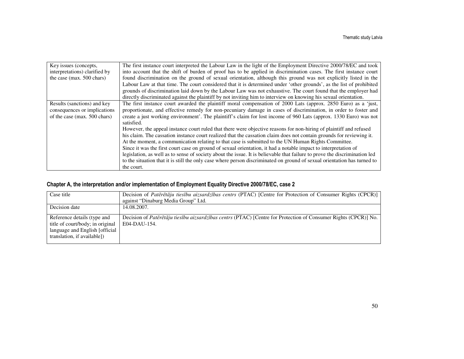| Key issues (concepts,         | The first instance court interpreted the Labour Law in the light of the Employment Directive 2000/78/EC and took           |
|-------------------------------|----------------------------------------------------------------------------------------------------------------------------|
| interpretations) clarified by | into account that the shift of burden of proof has to be applied in discrimination cases. The first instance court         |
| the case (max. 500 chars)     | found discrimination on the ground of sexual orientation, although this ground was not explicitly listed in the            |
|                               | Labour Law at that time. The court considered that it is determined under 'other grounds', as the list of prohibited       |
|                               | grounds of discrimination laid down by the Labour Law was not exhaustive. The court found that the employer had            |
|                               | directly discriminated against the plaintiff by not inviting him to interview on knowing his sexual orientation.           |
| Results (sanctions) and key   | The first instance court awarded the plaintiff moral compensation of 2000 Lats (approx. 2850 Euro) as a 'just,             |
| consequences or implications  | proportionate, and effective remedy for non-pecuniary damage in cases of discrimination, in order to foster and            |
| of the case (max. 500 chars)  | create a just working environment'. The plaintiff's claim for lost income of 960 Lats (approx. 1330 Euro) was not          |
|                               | satisfied.                                                                                                                 |
|                               | However, the appeal instance court ruled that there were objective reasons for non-hiring of plaintiff and refused         |
|                               | his claim. The cassation instance court realized that the cassation claim does not contain grounds for reviewing it.       |
|                               | At the moment, a communication relating to that case is submitted to the UN Human Rights Committee.                        |
|                               | Since it was the first court case on ground of sexual orientation, it had a notable impact to interpretation of            |
|                               | legislation, as well as to sense of society about the issue. It is believable that failure to prove the discrimination led |
|                               | to the situation that it is still the only case where person discriminated on ground of sexual orientation has turned to   |
|                               | the court.                                                                                                                 |

#### Chapter A, the interpretation and/or implementation of Employment Equality Directive 2000/78/EC, case 2

| Case title                                                                                                                        | Decision of Pateretaju tiesību aizsardzības centrs (PTAC) [Centre for Protection of Consumer Rights (CPCR)]                     |
|-----------------------------------------------------------------------------------------------------------------------------------|---------------------------------------------------------------------------------------------------------------------------------|
|                                                                                                                                   | against "Dinaburg Media Group" Ltd.                                                                                             |
| Decision date                                                                                                                     | 14.08.2007.                                                                                                                     |
| Reference details (type and<br>title of court/body; in original<br>language and English [official]<br>translation, if available]) | Decision of Pateretaju tiesību aizsardzības centrs (PTAC) [Centre for Protection of Consumer Rights (CPCR)] No.<br>E04-DAU-154. |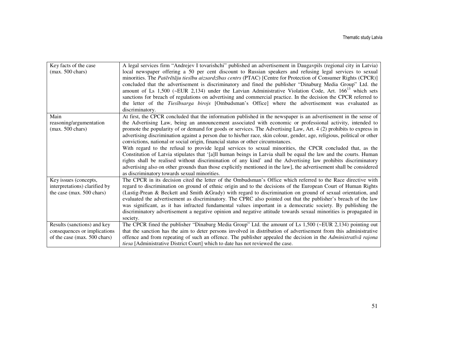| Key facts of the case<br>$(max. 500 \text{ chars})$                                         | A legal services firm "Andrejev I tovarishchi" published an advertisement in Daugavpils (regional city in Latvia)<br>local newspaper offering a 50 per cent discount to Russian speakers and refusing legal services to sexual<br>minorities. The Pateretaju tiesību aizsardzības centrs (PTAC) [Centre for Protection of Consumer Rights (CPCR)]<br>concluded that the advertisement is discriminatory and fined the publisher "Dinaburg Media Group" Ltd. the<br>amount of Ls 1,500 (~EUR 2,134) under the Latvian Administrative Violation Code, Art. $166^{13}$ which sets<br>sanctions for breach of regulations on advertising and commercial practice. In the decision the CPCR referred to<br>the letter of the Tiesībsarga birojs [Ombudsman's Office] where the advertisement was evaluated as<br>discriminatory.                                                                                                                                                                                                                                                                     |
|---------------------------------------------------------------------------------------------|-------------------------------------------------------------------------------------------------------------------------------------------------------------------------------------------------------------------------------------------------------------------------------------------------------------------------------------------------------------------------------------------------------------------------------------------------------------------------------------------------------------------------------------------------------------------------------------------------------------------------------------------------------------------------------------------------------------------------------------------------------------------------------------------------------------------------------------------------------------------------------------------------------------------------------------------------------------------------------------------------------------------------------------------------------------------------------------------------|
| Main<br>reasoning/argumentation<br>$(max. 500 \text{ chars})$                               | At first, the CPCR concluded that the information published in the newspaper is an advertisement in the sense of<br>the Advertising Law, being an announcement associated with economic or professional activity, intended to<br>promote the popularity of or demand for goods or services. The Advertising Law, Art. 4 (2) prohibits to express in<br>advertising discrimination against a person due to his/her race, skin colour, gender, age, religious, political or other<br>convictions, national or social origin, financial status or other circumstances.<br>With regard to the refusal to provide legal services to sexual minorities, the CPCR concluded that, as the<br>Constitution of Latvia stipulates that '[a]ll human beings in Latvia shall be equal the law and the courts. Human<br>rights shall be realised without discrimination of any kind' and the Advertising law prohibits discriminatory<br>advertising also on other grounds than those explicitly mentioned in the law], the advertisement shall be considered<br>as discriminatory towards sexual minorities. |
| Key issues (concepts,<br>interpretations) clarified by<br>the case (max. 500 chars)         | The CPCR in its decision cited the letter of the Ombudsman's Office which referred to the Race directive with<br>regard to discrimination on ground of ethnic origin and to the decisions of the European Court of Human Rights<br>(Lustig-Prean & Beckett and Smith &Grady) with regard to discrimination on ground of sexual orientation, and<br>evaluated the advertisement as discriminatory. The CPRC also pointed out that the publisher's breach of the law<br>was significant, as it has infracted fundamental values important in a democratic society. By publishing the<br>discriminatory advertisement a negative opinion and negative attitude towards sexual minorities is propagated in<br>society.                                                                                                                                                                                                                                                                                                                                                                              |
| Results (sanctions) and key<br>consequences or implications<br>of the case (max. 500 chars) | The CPCR fined the publisher "Dinaburg Media Group" Ltd. the amount of Ls 1,500 (~EUR 2,134) pointing out<br>that the sanction has the aim to deter persons involved in distribution of advertisement from this administrative<br>offence and from repeating of such an offence. The publisher appealed the decision in the Administratīvā rajona<br><i>tiesa</i> [Administrative District Court] which to date has not reviewed the case.                                                                                                                                                                                                                                                                                                                                                                                                                                                                                                                                                                                                                                                      |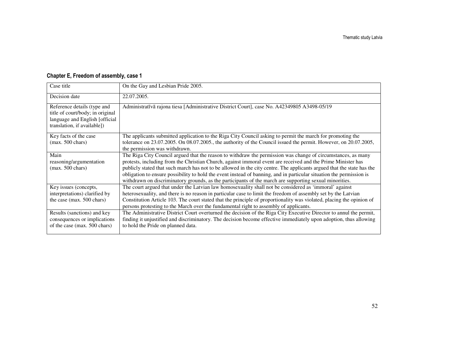| Case title                                                                                                                       | On the Gay and Lesbian Pride 2005.                                                                                                                                                                                                                                                                                                                                                                                                                                                                                                                                                        |
|----------------------------------------------------------------------------------------------------------------------------------|-------------------------------------------------------------------------------------------------------------------------------------------------------------------------------------------------------------------------------------------------------------------------------------------------------------------------------------------------------------------------------------------------------------------------------------------------------------------------------------------------------------------------------------------------------------------------------------------|
| Decision date                                                                                                                    | 22.07.2005.                                                                                                                                                                                                                                                                                                                                                                                                                                                                                                                                                                               |
| Reference details (type and<br>title of court/body; in original<br>language and English [official<br>translation, if available]) | Administratīvā rajona tiesa [Administrative District Court], case No. A42349805 A3498-05/19                                                                                                                                                                                                                                                                                                                                                                                                                                                                                               |
| Key facts of the case<br>$(max. 500 \text{ chars})$                                                                              | The applicants submitted application to the Riga City Council asking to permit the march for promoting the<br>tolerance on 23.07.2005. On 08.07.2005., the authority of the Council issued the permit. However, on 20.07.2005,<br>the permission was withdrawn.                                                                                                                                                                                                                                                                                                                           |
| Main<br>reasoning/argumentation<br>$(max. 500 \text{ chars})$                                                                    | The Riga City Council argued that the reason to withdraw the permission was change of circumstances, as many<br>protests, including from the Christian Church, against immoral event are received and the Prime Minister has<br>publicly stated that such march has not to be allowed in the city centre. The applicants argued that the state has the<br>obligation to ensure possibility to hold the event instead of banning, and in particular situation the permission is<br>withdrawn on discriminatory grounds, as the participants of the march are supporting sexual minorities. |
| Key issues (concepts,<br>interpretations) clarified by<br>the case (max. 500 chars)                                              | The court argued that under the Latvian law homosexuality shall not be considered as 'immoral' against<br>heterosexuality, and there is no reason in particular case to limit the freedom of assembly set by the Latvian<br>Constitution Article 103. The court stated that the principle of proportionality was violated, placing the opinion of<br>persons protesting to the March over the fundamental right to assembly of applicants.                                                                                                                                                |
| Results (sanctions) and key<br>consequences or implications<br>of the case (max. 500 chars)                                      | The Administrative District Court overturned the decision of the Riga City Executive Director to annul the permit,<br>finding it unjustified and discriminatory. The decision become effective immediately upon adoption, thus allowing<br>to hold the Pride on planned data.                                                                                                                                                                                                                                                                                                             |

#### Chapter E, Freedom of assembly, case 1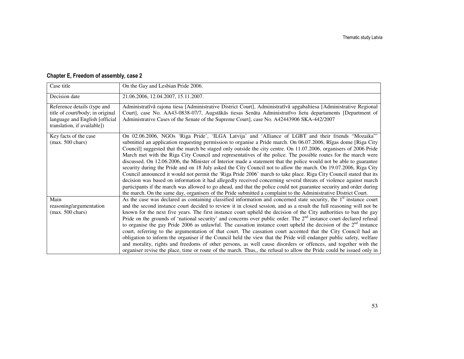| Case title                                                                                                                        | On the Gay and Lesbian Pride 2006.                                                                                                                                                                                                                                                                                                                                                                                                                                                                                                                                                                                                                                                                                                                                                                                                                                                                                                                                                                                                                                                                                                                                                         |
|-----------------------------------------------------------------------------------------------------------------------------------|--------------------------------------------------------------------------------------------------------------------------------------------------------------------------------------------------------------------------------------------------------------------------------------------------------------------------------------------------------------------------------------------------------------------------------------------------------------------------------------------------------------------------------------------------------------------------------------------------------------------------------------------------------------------------------------------------------------------------------------------------------------------------------------------------------------------------------------------------------------------------------------------------------------------------------------------------------------------------------------------------------------------------------------------------------------------------------------------------------------------------------------------------------------------------------------------|
| Decision date                                                                                                                     | 21.06.2006, 12.04.2007, 15.11.2007.                                                                                                                                                                                                                                                                                                                                                                                                                                                                                                                                                                                                                                                                                                                                                                                                                                                                                                                                                                                                                                                                                                                                                        |
| Reference details (type and<br>title of court/body; in original<br>language and English [official]<br>translation, if available]) | Administratīvā rajona tiesa [Administrative District Court], Administratīvā apgabaltiesa [Administrative Regional<br>Court], case No. AA43-0838-07/7, Augstākās tiesas Senāta Administratīvo lietu departaments [Department of<br>Administrative Cases of the Senate of the Supreme Court], case No. A42443906 SKA-442/2007                                                                                                                                                                                                                                                                                                                                                                                                                                                                                                                                                                                                                                                                                                                                                                                                                                                                |
| Key facts of the case<br>$(max. 500 \text{ chars})$                                                                               | On 02.06.2006, NGOs 'Riga Pride', 'ILGA Latvija' and 'Alliance of LGBT and their friends "Mozaika"<br>submitted an application requesting permission to organise a Pride march. On 06.07.2006, Rīgas dome [Riga City<br>Council] suggested that the march be staged only outside the city centre. On 11.07.2006, organisers of 2006 Pride<br>March met with the Riga City Council and representatives of the police. The possible routes for the march were<br>discussed. On 12.06.2006, the Minister of Interior made a statement that the police would not be able to guarantee<br>security during the Pride and on 18 July asked the City Council not to allow the march. On 19.07.2006, Riga City<br>Council announced it would not permit the 'Riga Pride 2006' march to take place. Riga City Council stated that its<br>decision was based on information it had allegedly received concerning several threats of violence against march<br>participants if the march was allowed to go ahead, and that the police could not guarantee security and order during<br>the march. On the same day, organisers of the Pride submitted a complaint to the Administrative District Court. |
| Main<br>reasoning/argumentation<br>$(max. 500 \text{ chars})$                                                                     | As the case was declared as containing classified information and concerned state security, the $1st$ instance court<br>and the second instance court decided to review it in closed session, and as a result the full reasoning will not be<br>known for the next five years. The first instance court upheld the decision of the City authorities to ban the gay<br>Pride on the grounds of 'national security' and concerns over public order. The $2nd$ instance court declared refusal<br>to organise the gay Pride 2006 as unlawful. The cassation instance court upheld the decision of the $2nd$ instance<br>court, referring to the argumentation of that court. The cassation court accented that the City Council had an<br>obligation to inform the organiser if the Council held the view that the Pride will endanger public safety, welfare<br>and morality, rights and freedoms of other persons, as well cause disorders or offences, and together with the<br>organiser revise the place, time or route of the march. Thus,, the refusal to allow the Pride could be issued only in                                                                                      |

#### Chapter E, Freedom of assembly, case 2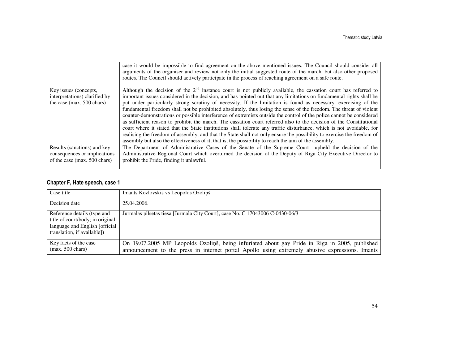|                                                                                             | case it would be impossible to find agreement on the above mentioned issues. The Council should consider all<br>arguments of the organiser and review not only the initial suggested route of the march, but also other proposed<br>routes. The Council should actively participate in the process of reaching agreement on a safe route.                                                                                                                                                                                                                                                                                                                                                                                                                                                                                                                                                                                                                                                                                                                                                     |
|---------------------------------------------------------------------------------------------|-----------------------------------------------------------------------------------------------------------------------------------------------------------------------------------------------------------------------------------------------------------------------------------------------------------------------------------------------------------------------------------------------------------------------------------------------------------------------------------------------------------------------------------------------------------------------------------------------------------------------------------------------------------------------------------------------------------------------------------------------------------------------------------------------------------------------------------------------------------------------------------------------------------------------------------------------------------------------------------------------------------------------------------------------------------------------------------------------|
| Key issues (concepts,<br>interpretations) clarified by<br>the case (max. 500 chars)         | Although the decision of the $2nd$ instance court is not publicly available, the cassation court has referred to<br>important issues considered in the decision, and has pointed out that any limitations on fundamental rights shall be<br>put under particularly strong scrutiny of necessity. If the limitation is found as necessary, exercising of the<br>fundamental freedom shall not be prohibited absolutely, thus losing the sense of the freedom. The threat of violent<br>counter-demonstrations or possible interference of extremists outside the control of the police cannot be considered<br>as sufficient reason to prohibit the march. The cassation court referred also to the decision of the Constitutional<br>court where it stated that the State institutions shall tolerate any traffic disturbance, which is not avoidable, for<br>realising the freedom of assembly, and that the State shall not only ensure the possibility to exercise the freedom of<br>assembly but also the effectiveness of it, that is, the possibility to reach the aim of the assembly. |
| Results (sanctions) and key<br>consequences or implications<br>of the case (max. 500 chars) | The Department of Administrative Cases of the Senate of the Supreme Court upheld the decision of the<br>Administrative Regional Court which overturned the decision of the Deputy of Riga City Executive Director to<br>prohibit the Pride, finding it unlawful.                                                                                                                                                                                                                                                                                                                                                                                                                                                                                                                                                                                                                                                                                                                                                                                                                              |

#### Chapter F, Hate speech, case 1

| Case title                                                                                                                        | Imants Kozlovskis vs Leopolds Ozoliņš                                                                                                                                                             |
|-----------------------------------------------------------------------------------------------------------------------------------|---------------------------------------------------------------------------------------------------------------------------------------------------------------------------------------------------|
| Decision date                                                                                                                     | 25.04.2006.                                                                                                                                                                                       |
| Reference details (type and<br>title of court/body; in original<br>language and English [official]<br>translation, if available]) | Jūrmalas pilsētas tiesa [Jurmala City Court], case No. C 17043006 C-0430-06/3                                                                                                                     |
| Key facts of the case<br>$(max. 500 \text{ chars})$                                                                               | On 19.07.2005 MP Leopolds Ozolinš, being infuriated about gay Pride in Riga in 2005, published<br>announcement to the press in internet portal Apollo using extremely abusive expressions. Imants |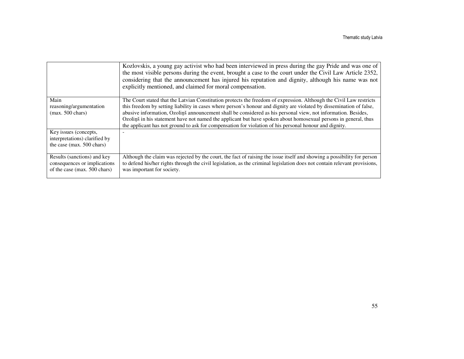|                                                                                             | Kozlovskis, a young gay activist who had been interviewed in press during the gay Pride and was one of<br>the most visible persons during the event, brought a case to the court under the Civil Law Article 2352,<br>considering that the announcement has injured his reputation and dignity, although his name was not<br>explicitly mentioned, and claimed for moral compensation.                                                                                                                                                                                                    |
|---------------------------------------------------------------------------------------------|-------------------------------------------------------------------------------------------------------------------------------------------------------------------------------------------------------------------------------------------------------------------------------------------------------------------------------------------------------------------------------------------------------------------------------------------------------------------------------------------------------------------------------------------------------------------------------------------|
| Main<br>reasoning/argumentation<br>$(max. 500 \text{ chars})$                               | The Court stated that the Latvian Constitution protects the freedom of expression. Although the Civil Law restricts<br>this freedom by setting liability in cases where person's honour and dignity are violated by dissemination of false,<br>abusive information, Ozolinš announcement shall be considered as his personal view, not information. Besides,<br>Ozoliņš in his statement have not named the applicant but have spoken about homosexual persons in general, thus<br>the applicant has not ground to ask for compensation for violation of his personal honour and dignity. |
| Key issues (concepts,<br>interpretations) clarified by<br>the case (max. 500 chars)         |                                                                                                                                                                                                                                                                                                                                                                                                                                                                                                                                                                                           |
| Results (sanctions) and key<br>consequences or implications<br>of the case (max. 500 chars) | Although the claim was rejected by the court, the fact of raising the issue itself and showing a possibility for person<br>to defend his/her rights through the civil legislation, as the criminal legislation does not contain relevant provisions,<br>was important for society.                                                                                                                                                                                                                                                                                                        |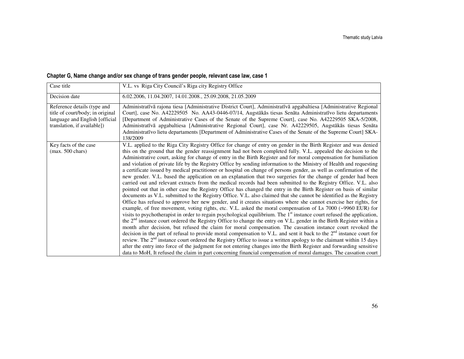#### Chapter G, Name change and/or sex change of trans gender people, relevant case law, case 1

| Case title                                                                                                                        | V.L. vs Riga City Council's Riga city Registry Office                                                                                                                                                                                                                                                                                                                                                                                                                                                                                                                                                                                                                                                                                                                                                                                                                                                                                                                                                                                                                                                                                                                                                                                                                                                                                                                                                                                                                                                                                                                                                                                                                                                                                                                                                                                                                                                                                                                                                                                                                                                                                                                                                                     |
|-----------------------------------------------------------------------------------------------------------------------------------|---------------------------------------------------------------------------------------------------------------------------------------------------------------------------------------------------------------------------------------------------------------------------------------------------------------------------------------------------------------------------------------------------------------------------------------------------------------------------------------------------------------------------------------------------------------------------------------------------------------------------------------------------------------------------------------------------------------------------------------------------------------------------------------------------------------------------------------------------------------------------------------------------------------------------------------------------------------------------------------------------------------------------------------------------------------------------------------------------------------------------------------------------------------------------------------------------------------------------------------------------------------------------------------------------------------------------------------------------------------------------------------------------------------------------------------------------------------------------------------------------------------------------------------------------------------------------------------------------------------------------------------------------------------------------------------------------------------------------------------------------------------------------------------------------------------------------------------------------------------------------------------------------------------------------------------------------------------------------------------------------------------------------------------------------------------------------------------------------------------------------------------------------------------------------------------------------------------------------|
| Decision date                                                                                                                     | 6.02.2006, 11.04.2007, 14.01.2008., 25.09.2008, 21.05.2009                                                                                                                                                                                                                                                                                                                                                                                                                                                                                                                                                                                                                                                                                                                                                                                                                                                                                                                                                                                                                                                                                                                                                                                                                                                                                                                                                                                                                                                                                                                                                                                                                                                                                                                                                                                                                                                                                                                                                                                                                                                                                                                                                                |
| Reference details (type and<br>title of court/body; in original<br>language and English [official]<br>translation, if available]) | Administratīvā rajona tiesa [Administrative District Court], Administratīvā apgabaltiesa [Administrative Regional<br>Court], case No. A42229505 No. AA43-0446-07/14, Augstākās tiesas Senāta Administratīvo lietu departaments<br>[Department of Administrative Cases of the Senate of the Supreme Court], case No. A42229505 SKA-5/2008,<br>Administratīvā apgabaltiesa [Administrative Regional Court], case Nr. A42229505, Augstākās tiesas Senāta<br>Administratīvo lietu departaments [Department of Administrative Cases of the Senate of the Supreme Court] SKA-<br>138/2009                                                                                                                                                                                                                                                                                                                                                                                                                                                                                                                                                                                                                                                                                                                                                                                                                                                                                                                                                                                                                                                                                                                                                                                                                                                                                                                                                                                                                                                                                                                                                                                                                                       |
| Key facts of the case<br>$(max. 500 \text{ chars})$                                                                               | V.L. applied to the Riga City Registry Office for change of entry on gender in the Birth Register and was denied<br>this on the ground that the gender reassignment had not been completed fully. V.L. appealed the decision to the<br>Administrative court, asking for change of entry in the Birth Register and for moral compensation for humiliation<br>and violation of private life by the Registry Office by sending information to the Ministry of Health and requesting<br>a certificate issued by medical practitioner or hospital on change of persons gender, as well as confirmation of the<br>new gender. V.L. based the application on an explanation that two surgeries for the change of gender had been<br>carried out and relevant extracts from the medical records had been submitted to the Registry Office. V.L. also<br>pointed out that in other case the Registry Office has changed the entry in the Birth Register on basis of similar<br>documents as V.L. submitted to the Registry Office. V.L. also claimed that she cannot be identified as the Registry<br>Office has refused to approve her new gender, and it creates situations where she cannot exercise her rights, for<br>example, of free movement, voting rights, etc. V.L. asked the moral compensation of Ls 7000 (~9960 EUR) for<br>visits to psychotherapist in order to regain psychological equilibrium. The 1 <sup>st</sup> instance court refused the application,<br>the $2nd$ instance court ordered the Registry Office to change the entry on V.L. gender in the Birth Register within a<br>month after decision, but refused the claim for moral compensation. The cassation instance court revoked the<br>decision in the part of refusal to provide moral compensation to V.L. and sent it back to the $2nd$ instance court for<br>review. The 2 <sup>nd</sup> instance court ordered the Registry Office to issue a written apology to the claimant within 15 days<br>after the entry into force of the judgment for not entering changes into the Birth Register and forwarding sensitive<br>data to MoH, It refused the claim in part concerning financial compensation of moral damages. The cassation court |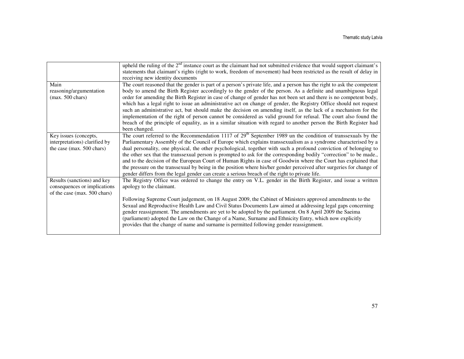|                               | upheld the ruling of the 2 <sup>nd</sup> instance court as the claimant had not submitted evidence that would support claimant's<br>statements that claimant's rights (right to work, freedom of movement) had been restricted as the result of delay in<br>receiving new identity documents |
|-------------------------------|----------------------------------------------------------------------------------------------------------------------------------------------------------------------------------------------------------------------------------------------------------------------------------------------|
| Main                          | The court reasoned that the gender is part of a person's private life, and a person has the right to ask the competent                                                                                                                                                                       |
| reasoning/argumentation       | body to amend the Birth Register accordingly to the gender of the person. As a definite and unambiguous legal                                                                                                                                                                                |
| $(max. 500 \text{ chars})$    | order for amending the Birth Register in case of change of gender has not been set and there is no competent body,                                                                                                                                                                           |
|                               | which has a legal right to issue an administrative act on change of gender, the Registry Office should not request                                                                                                                                                                           |
|                               | such an administrative act, but should make the decision on amending itself, as the lack of a mechanism for the<br>implementation of the right of person cannot be considered as valid ground for refusal. The court also found the                                                          |
|                               | breach of the principle of equality, as in a similar situation with regard to another person the Birth Register had                                                                                                                                                                          |
|                               | been changed.                                                                                                                                                                                                                                                                                |
| Key issues (concepts,         | The court referred to the Recommendation 1117 of $29th$ September 1989 un the condition of transsexuals by the                                                                                                                                                                               |
| interpretations) clarified by | Parliamentary Assembly of the Council of Europe which explains transsexualism as a syndrome characterised by a                                                                                                                                                                               |
| the case (max. 500 chars)     | dual personality, one physical, the other psychological, together with such a profound conviction of belonging to                                                                                                                                                                            |
|                               | the other sex that the transsexual person is prompted to ask for the corresponding bodily "correction" to be made.,                                                                                                                                                                          |
|                               | and to the decision of the European Court of Human Rights in case of Goodwin where the Court has explained that                                                                                                                                                                              |
|                               | the pressure on the transsexual by being in the position where his/her gender perceived after surgeries for change of<br>gender differs from the legal gender can create a serious breach of the right to private life.                                                                      |
| Results (sanctions) and key   | The Registry Office was ordered to change the entry on V.L. gender in the Birth Register, and issue a written                                                                                                                                                                                |
| consequences or implications  | apology to the claimant.                                                                                                                                                                                                                                                                     |
| of the case (max. 500 chars)  |                                                                                                                                                                                                                                                                                              |
|                               | Following Supreme Court judgement, on 18 August 2009, the Cabinet of Ministers approved amendments to the                                                                                                                                                                                    |
|                               | Sexual and Reproductive Health Law and Civil Status Documents Law aimed at addressing legal gaps concerning<br>gender reassignment. The amendments are yet to be adopted by the parliament. On 8 April 2009 the Saeima                                                                       |
|                               | (parliament) adopted the Law on the Change of a Name, Surname and Ethnicity Entry, which now explicitly<br>provides that the change of name and surname is permitted following gender reassignment.                                                                                          |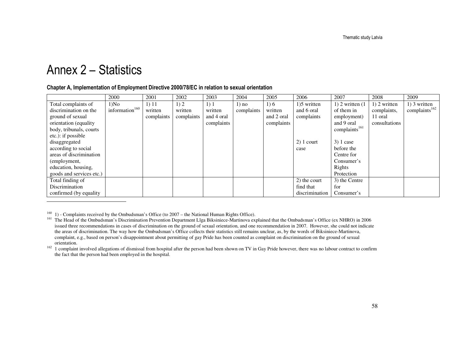## Annex 2 – Statistics

#### Chapter A, Implementation of Employment Directive 2000/78/EC in relation to sexual orientation

|                          | 2000                       | 2001       | 2002       | 2003       | 2004       | 2005       | 2006           | 2007                      | 2008          | 2009                      |
|--------------------------|----------------------------|------------|------------|------------|------------|------------|----------------|---------------------------|---------------|---------------------------|
| Total complaints of      | $1)$ No                    | 1) 11      | 1)2        | 1)1        | $1)$ no    | 1)6        | 1)5 written    | $1)$ 2 written $(1)$      | 1) 2 written  | 1) 3 written              |
| discrimination on the    | information <sup>160</sup> | written    | written    | written    | complaints | written    | and 6 oral     | of them in                | complaints,   | complaints <sup>162</sup> |
| ground of sexual         |                            | complaints | complaints | and 4 oral |            | and 2 oral | complaints     | employment)               | 11 oral       |                           |
| orientation (equality)   |                            |            |            | complaints |            | complaints |                | and 9 oral                | consultations |                           |
| body, tribunals, courts  |                            |            |            |            |            |            |                | complaints <sup>161</sup> |               |                           |
| etc.): if possible       |                            |            |            |            |            |            |                |                           |               |                           |
| disaggregated            |                            |            |            |            |            |            | $2)$ 1 court   | $3)$ 1 case               |               |                           |
| according to social      |                            |            |            |            |            |            | case           | before the                |               |                           |
| areas of discrimination  |                            |            |            |            |            |            |                | Centre for                |               |                           |
| (employment,             |                            |            |            |            |            |            |                | Consumer's                |               |                           |
| education, housing,      |                            |            |            |            |            |            |                | Rights                    |               |                           |
| goods and services etc.) |                            |            |            |            |            |            |                | Protection                |               |                           |
| Total finding of         |                            |            |            |            |            |            | 2) the court   | 3) the Centre             |               |                           |
| Discrimination           |                            |            |            |            |            |            | find that      | for                       |               |                           |
| confirmed (by equality)  |                            |            |            |            |            |            | discrimination | Consumer's                |               |                           |

<sup>160</sup> 1) - Complaints received by the Ombudsman's Office (to 2007 – the National Human Rights Office).

 $162$  1 complaint involved allegations of dismissal from hospital after the person had been shown on TV in Gay Pride however, there was no labour contract to confirm the fact that the person had been employed in the hospital.

<sup>&</sup>lt;sup>161</sup> The Head of the Ombudsman's Discrimination Prevention Department Līga Biksiniece-Martinova explained that the Ombudsman's Office (ex NHRO) in 2006 issued three recommendations in cases of discrimination on the ground of sexual orientation, and one recommendation in 2007. However, she could not indicate the areas of discrimination. The way how the Ombudsman's Office collects their statistics still remains unclear, as, by the words of Biksiniece-Martinova, complaint, e.g., based on person's disappointment about permitting of gay Pride has been counted as complaint on discrimination on the ground of sexual orientation.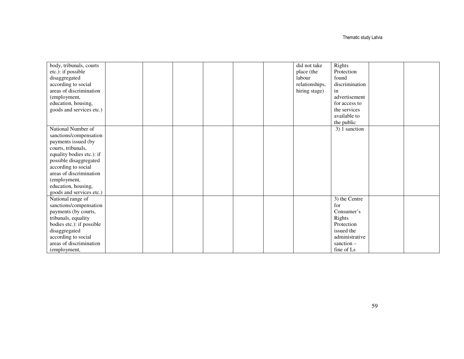Thematic study Latvia

| body, tribunals, courts   |  |  | did not take   | Rights         |  |
|---------------------------|--|--|----------------|----------------|--|
| etc.): if possible        |  |  | place (the     | Protection     |  |
|                           |  |  |                | found          |  |
| disaggregated             |  |  | labour         |                |  |
| according to social       |  |  | relationships, | discrimination |  |
| areas of discrimination   |  |  | hiring stage)  | in             |  |
| (employment,              |  |  |                | advertisement  |  |
| education, housing,       |  |  |                | for access to  |  |
| goods and services etc.)  |  |  |                | the services   |  |
|                           |  |  |                | available to   |  |
|                           |  |  |                | the public     |  |
| National Number of        |  |  |                | 3) 1 sanction  |  |
| sanctions/compensation    |  |  |                |                |  |
| payments issued (by       |  |  |                |                |  |
| courts, tribunals,        |  |  |                |                |  |
| equality bodies etc.): if |  |  |                |                |  |
| possible disaggregated    |  |  |                |                |  |
| according to social       |  |  |                |                |  |
| areas of discrimination   |  |  |                |                |  |
| (employment,              |  |  |                |                |  |
| education, housing,       |  |  |                |                |  |
|                           |  |  |                |                |  |
| goods and services etc.)  |  |  |                |                |  |
| National range of         |  |  |                | 3) the Centre  |  |
| sanctions/compensation    |  |  |                | for            |  |
| payments (by courts,      |  |  |                | Consumer's     |  |
| tribunals, equality       |  |  |                | Rights         |  |
| bodies etc.): if possible |  |  |                | Protection     |  |
| disaggregated             |  |  |                | issued the     |  |
| according to social       |  |  |                | administrative |  |
| areas of discrimination   |  |  |                | sanction $-$   |  |
| (employment,              |  |  |                | fine of Ls     |  |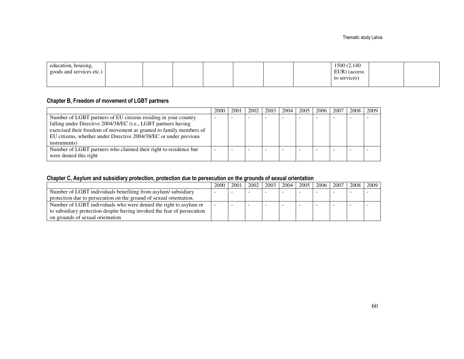| education, housing,      |  |  |  | 1500 (2,140) |  |
|--------------------------|--|--|--|--------------|--|
| goods and services etc.) |  |  |  | EUR) (access |  |
|                          |  |  |  | to services) |  |
|                          |  |  |  |              |  |

#### Chapter B, Freedom of movement of LGBT partners

|                                                                     | 2000 | 2001 | 2002 | 2003 | 2004 | 2005 | 2006 | 2007 | 2008 | 2009 |
|---------------------------------------------------------------------|------|------|------|------|------|------|------|------|------|------|
| Number of LGBT partners of EU citizens residing in your country     | ۰.   |      |      |      |      |      |      |      |      |      |
| falling under Directive 2004/38/EC (i.e., LGBT partners having      |      |      |      |      |      |      |      |      |      |      |
| exercised their freedom of movement as granted to family members of |      |      |      |      |      |      |      |      |      |      |
| EU citizens, whether under Directive 2004/38/EC or under previous   |      |      |      |      |      |      |      |      |      |      |
| instruments)                                                        |      |      |      |      |      |      |      |      |      |      |
| Number of LGBT partners who claimed their right to residence but    |      |      |      |      |      |      |      |      |      |      |
| were denied this right                                              |      |      |      |      |      |      |      |      |      |      |

#### Chapter C, Asylum and subsidiary protection, protection due to persecution on the grounds of sexual orientation

|                                                                         | 2000 | 2001 | 2002 | 2003 <sub>1</sub> | 2004 | 2005 | 2006 | 2007 | 2008 | 2009 |
|-------------------------------------------------------------------------|------|------|------|-------------------|------|------|------|------|------|------|
| Number of LGBT individuals benefiting from asylum/subsidiary            |      |      |      |                   |      |      |      |      |      |      |
| protection due to persecution on the ground of sexual orientation.      |      |      |      |                   |      |      |      |      |      |      |
| Number of LGBT individuals who were denied the right to asylum or       |      |      |      |                   |      |      | -    |      |      |      |
| to subsidiary protection despite having invoked the fear of persecution |      |      |      |                   |      |      |      |      |      |      |
| on grounds of sexual orientation                                        |      |      |      |                   |      |      |      |      |      |      |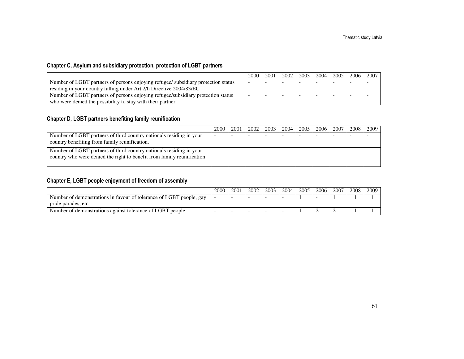#### Chapter C, Asylum and subsidiary protection, protection of LGBT partners

|                                                                                   | 2000 | 2001 | 2002 | 2003 | 2004 | 2005 | 2006 | 2007 |
|-----------------------------------------------------------------------------------|------|------|------|------|------|------|------|------|
| Number of LGBT partners of persons enjoying refugee/ subsidiary protection status |      |      |      |      |      |      |      |      |
| residing in your country falling under Art 2/h Directive 2004/83/EC               |      |      |      |      |      |      |      |      |
| Number of LGBT partners of persons enjoying refugee/subsidiary protection status  |      |      |      |      |      |      |      |      |
| who were denied the possibility to stay with their partner                        |      |      |      |      |      |      |      |      |

#### Chapter D, LGBT partners benefiting family reunification

|                                                                                                                                               | 2000 | 2001 | 2002 | 2003 | 2004 | 2005 | 2006 | 2007 | 2008 | 2009 |
|-----------------------------------------------------------------------------------------------------------------------------------------------|------|------|------|------|------|------|------|------|------|------|
| Number of LGBT partners of third country nationals residing in your<br>country benefiting from family reunification.                          |      |      |      |      |      |      |      |      |      |      |
| Number of LGBT partners of third country nationals residing in your<br>country who were denied the right to benefit from family reunification |      |      |      |      |      |      |      |      |      |      |

#### Chapter E, LGBT people enjoyment of freedom of assembly

|                                                                                           | 2000 | 2001 | 2002 | 2003 | 2004 | 2005 | 2006 | 2007 | 2008 | 2009 |
|-------------------------------------------------------------------------------------------|------|------|------|------|------|------|------|------|------|------|
| Number of demonstrations in favour of tolerance of LGBT people, gay<br>pride parades, etc |      |      |      |      |      |      |      |      |      |      |
| Number of demonstrations against tolerance of LGBT people.                                |      |      |      |      |      |      | -    |      |      |      |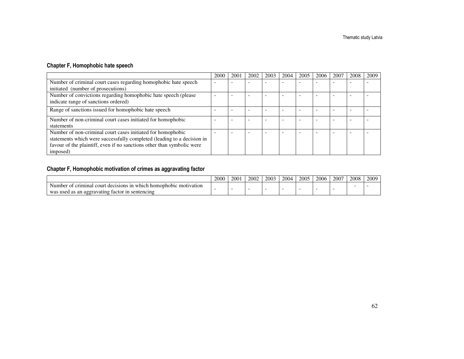#### Chapter F, Homophobic hate speech

|                                                                        | 2000 | 2001 | 2002 | 2003 | 2004 | 2005 | 2006 | 2007 | 2008 | 2009 |
|------------------------------------------------------------------------|------|------|------|------|------|------|------|------|------|------|
| Number of criminal court cases regarding homophobic hate speech        | -    |      |      |      |      |      |      |      |      |      |
| initiated (number of prosecutions)                                     |      |      |      |      |      |      |      |      |      |      |
| Number of convictions regarding homophobic hate speech (please         |      |      |      |      |      |      |      |      |      |      |
| indicate range of sanctions ordered)                                   |      |      |      |      |      |      |      |      |      |      |
| Range of sanctions issued for homophobic hate speech                   |      |      |      |      |      |      |      |      |      |      |
| Number of non-criminal court cases initiated for homophobic            |      |      |      |      |      |      |      |      |      |      |
| statements                                                             |      |      |      |      |      |      |      |      |      |      |
| Number of non-criminal court cases initiated for homophobic            |      |      |      |      |      |      |      |      |      |      |
| statements which were successfully completed (leading to a decision in |      |      |      |      |      |      |      |      |      |      |
| favour of the plaintiff, even if no sanctions other than symbolic were |      |      |      |      |      |      |      |      |      |      |
| imposed)                                                               |      |      |      |      |      |      |      |      |      |      |

#### Chapter F, Homophobic motivation of crimes as aggravating factor

|                                                                                               | 2000 | 2001 | 2002<br>2002. | 2003 | 2004 | 2005 | 2006 | 2007 | 2008 | 2009 |
|-----------------------------------------------------------------------------------------------|------|------|---------------|------|------|------|------|------|------|------|
| of criminal :<br>1n<br>al court :<br>decisions.<br>motivation<br>i which homophobic<br>Number |      |      |               |      |      |      |      |      |      |      |
| s an aggravating factor<br>sentencing<br>1n<br>wa.<br>used as<br>ັ                            |      |      |               |      |      |      |      |      |      |      |